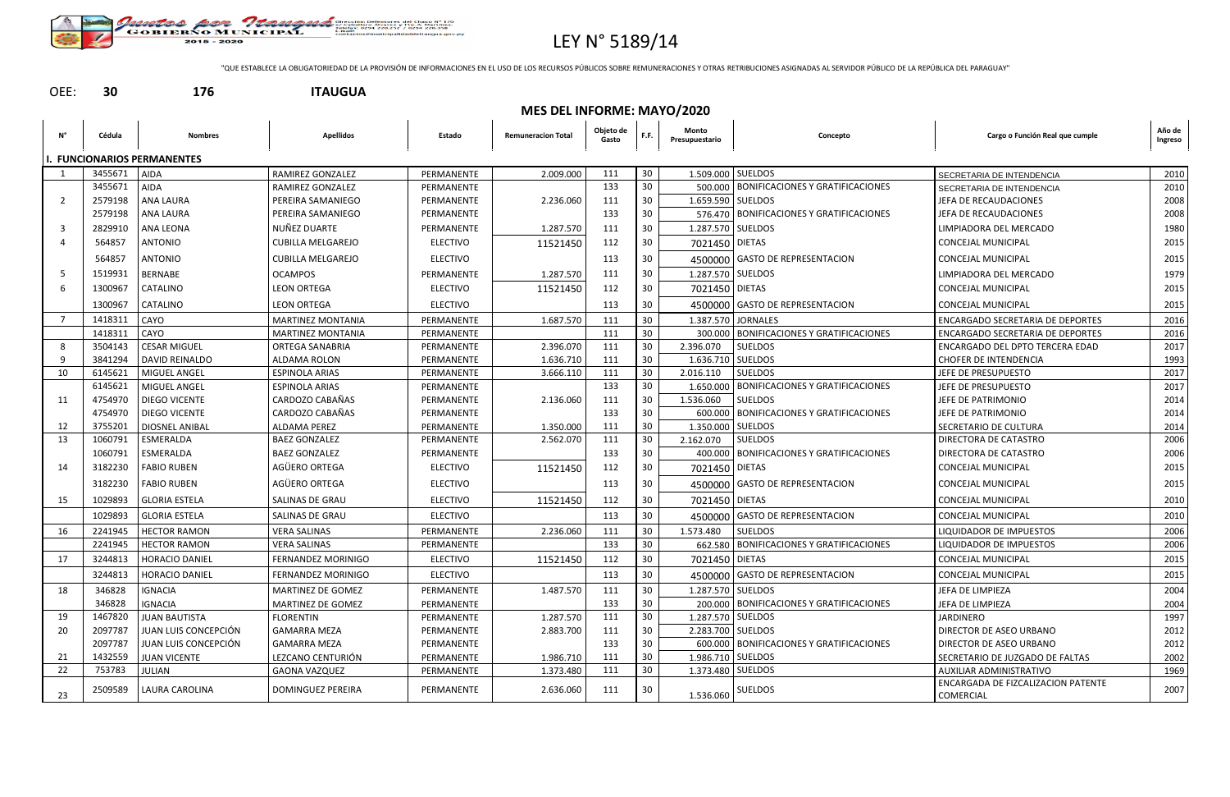

# LEY N° 5189/14

"QUE ESTABLECE LA OBLIGATORIEDAD DE LA PROVISIÓN DE INFORMACIONES EN EL USO DE LOS RECURSOS PÚBLICOS SOBRE REMUNERACIONES Y OTRAS RETRIBUCIONES ASIGNADAS AL SERVIDOR PÚBLICO DE LA REPÚBLICA DEL PARAGUAY"

### OEE: **30 176 ITAUGUA**

|    |         | <b>MES DEL INFORME: MAYO/2020</b>  |                           |                 |                           |                    |                 |                         |                                            |                                                 |                   |  |  |  |
|----|---------|------------------------------------|---------------------------|-----------------|---------------------------|--------------------|-----------------|-------------------------|--------------------------------------------|-------------------------------------------------|-------------------|--|--|--|
| Ν° | Cédula  | <b>Nombres</b>                     | <b>Apellidos</b>          | Estado          | <b>Remuneracion Total</b> | Objeto de<br>Gasto | F.F.            | Monto<br>Presupuestario | Concepto                                   | Cargo o Función Real que cumple                 | Año de<br>Ingreso |  |  |  |
|    |         | <b>I. FUNCIONARIOS PERMANENTES</b> |                           |                 |                           |                    |                 |                         |                                            |                                                 |                   |  |  |  |
|    | 3455671 | <b>AIDA</b>                        | <b>RAMIREZ GONZALEZ</b>   | PERMANENTE      | 2.009.000                 | 111                | 30 <sup>°</sup> | 1.509.000 SUELDOS       |                                            | SECRETARIA DE INTENDENCIA                       | 2010              |  |  |  |
|    | 3455671 | AIDA                               | <b>RAMIREZ GONZALEZ</b>   | PERMANENTE      |                           | 133                | 30              |                         | 500.000   BONIFICACIONES Y GRATIFICACIONES | SECRETARIA DE INTENDENCIA                       | 2010              |  |  |  |
| 2  | 2579198 | ANA LAURA                          | PEREIRA SAMANIEGO         | PERMANENTE      | 2.236.060                 | 111                | 30              | 1.659.590   SUELDOS     |                                            | JEFA DE RECAUDACIONES                           | 2008              |  |  |  |
|    | 2579198 | <b>ANA LAURA</b>                   | PEREIRA SAMANIEGO         | PERMANENTE      |                           | 133                | 30              |                         | 576.470   BONIFICACIONES Y GRATIFICACIONES | JEFA DE RECAUDACIONES                           | 2008              |  |  |  |
| 3  | 2829910 | <b>ANA LEONA</b>                   | NUÑEZ DUARTE              | PERMANENTE      | 1.287.570                 | 111                | 30              |                         | 1.287.570 SUELDOS                          | LIMPIADORA DEL MERCADO                          | 1980              |  |  |  |
|    | 564857  | ANTONIO                            | <b>CUBILLA MELGAREJO</b>  | <b>ELECTIVO</b> | 11521450                  | 112                | 30              | 7021450 DIETAS          |                                            | CONCEJAL MUNICIPAL                              | 2015              |  |  |  |
|    | 564857  | <b>ANTONIO</b>                     | <b>CUBILLA MELGAREJO</b>  | <b>ELECTIVO</b> |                           | 113                | 30              |                         | 4500000 GASTO DE REPRESENTACION            | <b>CONCEJAL MUNICIPAL</b>                       | 2015              |  |  |  |
| -5 | 1519931 | <b>BERNABE</b>                     | <b>OCAMPOS</b>            | PERMANENTE      | 1.287.570                 | 111                | 30              | 1.287.570 SUELDOS       |                                            | LIMPIADORA DEL MERCADO                          | 1979              |  |  |  |
| 6  | 1300967 | CATALINO                           | <b>LEON ORTEGA</b>        | <b>ELECTIVO</b> | 11521450                  | 112                | 30              | 7021450 DIETAS          |                                            | CONCEJAL MUNICIPAL                              | 2015              |  |  |  |
|    | 1300967 | CATALINO                           | <b>LEON ORTEGA</b>        | <b>ELECTIVO</b> |                           | 113                | 30              |                         | 4500000 GASTO DE REPRESENTACION            | <b>CONCEJAL MUNICIPAL</b>                       | 2015              |  |  |  |
| 7  | 1418311 | CAYO                               | <b>MARTINEZ MONTANIA</b>  | PERMANENTE      | 1.687.570                 | 111                | 30              |                         | 1.387.570 JORNALES                         | <b>ENCARGADO SECRETARIA DE DEPORTES</b>         | 2016              |  |  |  |
|    | 1418311 | CAYO                               | <b>MARTINEZ MONTANIA</b>  | PERMANENTE      |                           | 111                | 30              |                         | 300.000   BONIFICACIONES Y GRATIFICACIONES | <b>ENCARGADO SECRETARIA DE DEPORTES</b>         | 2016              |  |  |  |
| 8  | 3504143 | <b>CESAR MIGUEL</b>                | <b>ORTEGA SANABRIA</b>    | PERMANENTE      | 2.396.070                 | 111                | 30              | 2.396.070               | <b>SUELDOS</b>                             | <b>ENCARGADO DEL DPTO TERCERA EDAD</b>          | 2017              |  |  |  |
| 9  | 3841294 | DAVID REINALDO                     | ALDAMA ROLON              | PERMANENTE      | 1.636.710                 | 111                | 30              | 1.636.710   SUELDOS     |                                            | <b>CHOFER DE INTENDENCIA</b>                    | 1993              |  |  |  |
| 10 | 6145621 | MIGUEL ANGEL                       | <b>ESPINOLA ARIAS</b>     | PERMANENTE      | 3.666.110                 | 111                | 30              | 2.016.110               | <b>SUELDOS</b>                             | JEFE DE PRESUPUESTO                             | 2017              |  |  |  |
|    | 6145621 | MIGUEL ANGEL                       | <b>ESPINOLA ARIAS</b>     | PERMANENTE      |                           | 133                | 30              | 1.650.000               | <b>BONIFICACIONES Y GRATIFICACIONES</b>    | JEFE DE PRESUPUESTO                             | 2017              |  |  |  |
| 11 | 4754970 | DIEGO VICENTE                      | CARDOZO CABAÑAS           | PERMANENTE      | 2.136.060                 | 111                | 30              | 1.536.060               | <b>SUELDOS</b>                             | JEFE DE PATRIMONIO                              | 2014              |  |  |  |
|    | 4754970 | <b>DIEGO VICENTE</b>               | CARDOZO CABAÑAS           | PERMANENTE      |                           | 133                | 30              | 600.000                 | <b>BONIFICACIONES Y GRATIFICACIONES</b>    | JEFE DE PATRIMONIO                              | 2014              |  |  |  |
| 12 | 3755201 | DIOSNEL ANIBAL                     | <b>ALDAMA PEREZ</b>       | PERMANENTE      | 1.350.000                 | 111                | 30              | 1.350.000 SUELDOS       |                                            | SECRETARIO DE CULTURA                           | 2014              |  |  |  |
| 13 | 1060791 | ESMERALDA                          | <b>BAEZ GONZALEZ</b>      | PERMANENTE      | 2.562.070                 | 111                | 30              | 2.162.070               | <b>SUELDOS</b>                             | <b>DIRECTORA DE CATASTRO</b>                    | 2006              |  |  |  |
|    | 1060791 | ESMERALDA                          | <b>BAEZ GONZALEZ</b>      | PERMANENTE      |                           | 133                | 30              |                         | 400.000   BONIFICACIONES Y GRATIFICACIONES | <b>DIRECTORA DE CATASTRO</b>                    | 2006              |  |  |  |
| 14 | 3182230 | <b>FABIO RUBEN</b>                 | AGÜERO ORTEGA             | <b>ELECTIVO</b> | 11521450                  | 112                | 30              | 7021450 DIETAS          |                                            | CONCEJAL MUNICIPAL                              | 2015              |  |  |  |
|    | 3182230 | <b>FABIO RUBEN</b>                 | AGÜERO ORTEGA             | <b>ELECTIVO</b> |                           | 113                | 30              |                         | 4500000 GASTO DE REPRESENTACION            | CONCEJAL MUNICIPAL                              | 2015              |  |  |  |
| 15 | 1029893 | <b>GLORIA ESTELA</b>               | <b>SALINAS DE GRAU</b>    | <b>ELECTIVO</b> | 11521450                  | 112                | 30              | 7021450 DIETAS          |                                            | <b>CONCEJAL MUNICIPAL</b>                       | 2010              |  |  |  |
|    | 1029893 | <b>GLORIA ESTELA</b>               | <b>SALINAS DE GRAU</b>    | <b>ELECTIVO</b> |                           | 113                | 30              | 4500000                 | <b>GASTO DE REPRESENTACION</b>             | <b>CONCEJAL MUNICIPAL</b>                       | 2010              |  |  |  |
| 16 | 2241945 | <b>HECTOR RAMON</b>                | <b>VERA SALINAS</b>       | PERMANENTE      | 2.236.060                 | 111                | 30              | 1.573.480               | <b>SUELDOS</b>                             | LIQUIDADOR DE IMPUESTOS                         | 2006              |  |  |  |
|    | 2241945 | <b>HECTOR RAMON</b>                | <b>VERA SALINAS</b>       | PERMANENTE      |                           | 133                | 30              |                         | 662.580   BONIFICACIONES Y GRATIFICACIONES | LIQUIDADOR DE IMPUESTOS                         | 2006              |  |  |  |
| 17 | 3244813 | HORACIO DANIEL                     | <b>FERNANDEZ MORINIGO</b> | ELECTIVO        | 11521450                  | 112                | 30              | 7021450   DIETAS        |                                            | CONCEJAL MUNICIPAL                              | 2015              |  |  |  |
|    | 3244813 | HORACIO DANIEL                     | <b>FERNANDEZ MORINIGO</b> | <b>ELECTIVO</b> |                           | 113                | 30              |                         | 4500000 GASTO DE REPRESENTACION            | <b>CONCEJAL MUNICIPAL</b>                       | 2015              |  |  |  |
| 18 | 346828  | IGNACIA                            | <b>MARTINEZ DE GOMEZ</b>  | PERMANENTE      | 1.487.570                 | 111                | 30              |                         | 1.287.570 SUELDOS                          | JEFA DE LIMPIEZA                                | 2004              |  |  |  |
|    | 346828  | IGNACIA                            | MARTINEZ DE GOMEZ         | PERMANENTE      |                           | 133                | 30              |                         | 200.000   BONIFICACIONES Y GRATIFICACIONES | JEFA DE LIMPIEZA                                | 2004              |  |  |  |
| 19 | 1467820 | <b>JUAN BAUTISTA</b>               | <b>FLORENTIN</b>          | PERMANENTE      | 1.287.570                 | 111                | 30              | 1.287.570 SUELDOS       |                                            | JARDINERO                                       | 1997              |  |  |  |
| 20 | 2097787 | JUAN LUIS CONCEPCIÓN               | <b>GAMARRA MEZA</b>       | PERMANENTE      | 2.883.700                 | 111                | 30              | 2.283.700 SUELDOS       |                                            | DIRECTOR DE ASEO URBANO                         | 2012              |  |  |  |
|    | 2097787 | JUAN LUIS CONCEPCIÓN               | <b>GAMARRA MEZA</b>       | PERMANENTE      |                           | 133                | 30              |                         | 600.000   BONIFICACIONES Y GRATIFICACIONES | DIRECTOR DE ASEO URBANO                         | 2012              |  |  |  |
| 21 | 1432559 | <b>JUAN VICENTE</b>                | LEZCANO CENTURIÓN         | PERMANENTE      | 1.986.710                 | 111                | 30              | 1.986.710 SUELDOS       |                                            | SECRETARIO DE JUZGADO DE FALTAS                 | 2002              |  |  |  |
| 22 | 753783  | JULIAN                             | <b>GAONA VAZQUEZ</b>      | PERMANENTE      | 1.373.480                 | 111                | 30              | 1.373.480 SUELDOS       |                                            | <b>AUXILIAR ADMINISTRATIVO</b>                  | 1969              |  |  |  |
| 23 | 2509589 | LAURA CAROLINA                     | DOMINGUEZ PEREIRA         | PERMANENTE      | 2.636.060                 | 111                | 30              | 1.536.060               | SUELDOS                                    | ENCARGADA DE FIZCALIZACION PATENTE<br>COMERCIAL | 2007              |  |  |  |

| unción Real que cumple- | Año  |
|-------------------------|------|
|                         | Ingr |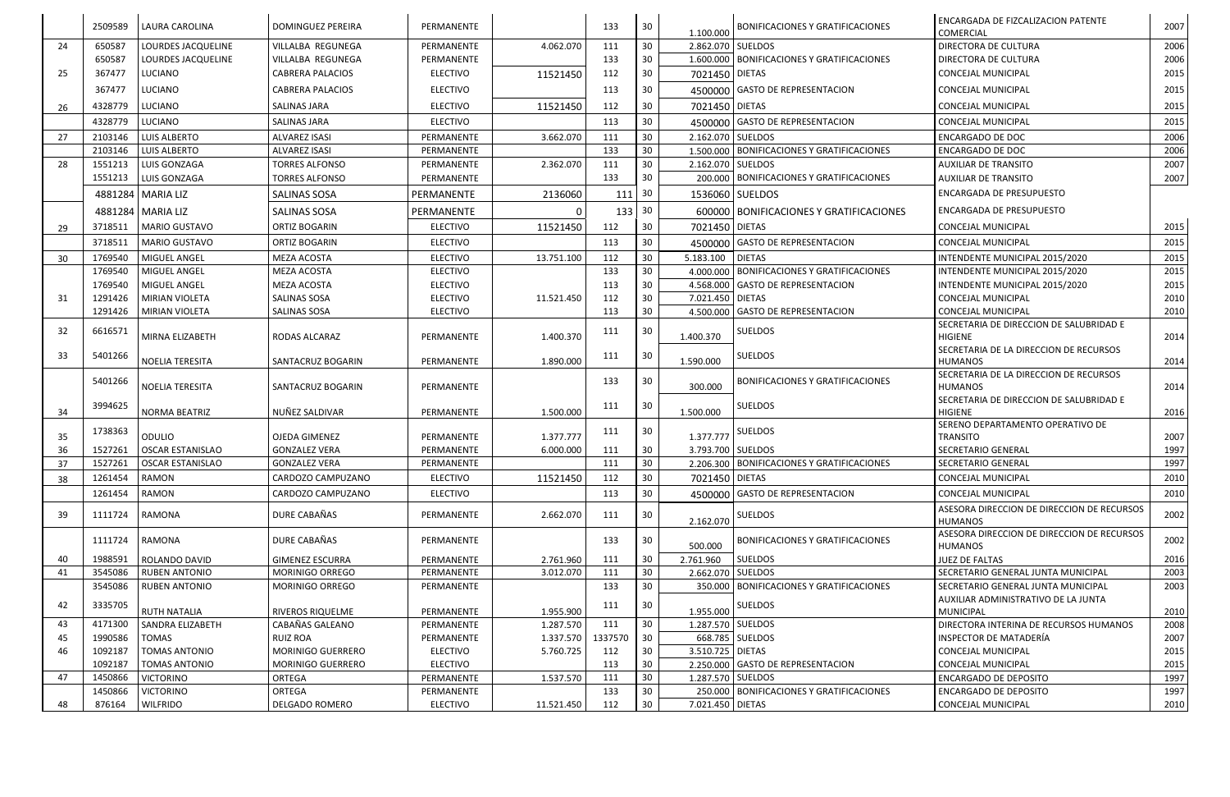|    | 2509589            | LAURA CAROLINA                               | <b>DOMINGUEZ PEREIRA</b>               | PERMANENTE                         |            | 133        | 30              | 1.100.000        | <b>BONIFICACIONES Y GRATIFICACIONES</b>      | <b>ENCARGADA DE FIZCALIZACION PATENTE</b><br>COMERCIAL           | 2007         |
|----|--------------------|----------------------------------------------|----------------------------------------|------------------------------------|------------|------------|-----------------|------------------|----------------------------------------------|------------------------------------------------------------------|--------------|
| 24 | 650587             | LOURDES JACQUELINE                           | VILLALBA REGUNEGA                      | PERMANENTE                         | 4.062.070  | 111        | 30              |                  | 2.862.070 SUELDOS                            | <b>DIRECTORA DE CULTURA</b>                                      | 2006         |
|    | 650587             | LOURDES JACQUELINE                           | VILLALBA REGUNEGA                      | PERMANENTE                         |            | 133        | 30              |                  | 1.600.000   BONIFICACIONES Y GRATIFICACIONES | DIRECTORA DE CULTURA                                             | 2006         |
| 25 | 367477             | LUCIANO                                      | <b>CABRERA PALACIOS</b>                | <b>ELECTIVO</b>                    | 11521450   | 112        | 30              | 7021450 DIETAS   |                                              | CONCEJAL MUNICIPAL                                               | 2015         |
|    | 367477             | LUCIANO                                      | <b>CABRERA PALACIOS</b>                | <b>ELECTIVO</b>                    |            | 113        | 30              |                  | 4500000 GASTO DE REPRESENTACION              | <b>CONCEJAL MUNICIPAL</b>                                        | 2015         |
| 26 | 4328779            | LUCIANO                                      | SALINAS JARA                           | <b>ELECTIVO</b>                    | 11521450   | 112        | 30              | 7021450 DIETAS   |                                              | <b>CONCEJAL MUNICIPAL</b>                                        | 2015         |
|    | 4328779            | LUCIANO                                      | SALINAS JARA                           | <b>ELECTIVO</b>                    |            | 113        | 30              |                  | 4500000 GASTO DE REPRESENTACION              | <b>CONCEJAL MUNICIPAL</b>                                        | 2015         |
| 27 | 2103146            | LUIS ALBERTO                                 | <b>ALVAREZ ISASI</b>                   | PERMANENTE                         | 3.662.070  | 111        | 30              |                  | 2.162.070 SUELDOS                            | <b>ENCARGADO DE DOC</b>                                          | 2006         |
|    | 2103146            | <b>LUIS ALBERTO</b>                          | <b>ALVAREZ ISASI</b>                   | PERMANENTE                         |            | 133        | 30              |                  | 1.500.000   BONIFICACIONES Y GRATIFICACIONES | <b>ENCARGADO DE DOC</b>                                          | 2006         |
| 28 | 1551213            | LUIS GONZAGA                                 | <b>TORRES ALFONSO</b>                  | PERMANENTE                         | 2.362.070  | 111        | 30              |                  | 2.162.070 SUELDOS                            | <b>AUXILIAR DE TRANSITO</b>                                      | 2007         |
|    | 1551213            | LUIS GONZAGA                                 | <b>TORRES ALFONSO</b>                  | PERMANENTE                         |            | 133        | 30              |                  | 200.000   BONIFICACIONES Y GRATIFICACIONES   | <b>AUXILIAR DE TRANSITO</b>                                      | 2007         |
|    |                    | 4881284 MARIA LIZ                            | <b>SALINAS SOSA</b>                    | PERMANENTE                         | 2136060    | 111        | -30             |                  | 1536060 SUELDOS                              | <b>ENCARGADA DE PRESUPUESTO</b>                                  |              |
|    |                    | 4881284 MARIA LIZ                            | SALINAS SOSA                           | PERMANENTE                         |            | 133   30   |                 |                  | 600000   BONIFICACIONES Y GRATIFICACIONES    | <b>ENCARGADA DE PRESUPUESTO</b>                                  |              |
| 29 | 3718511            | MARIO GUSTAVO                                | <b>ORTIZ BOGARIN</b>                   | <b>ELECTIVO</b>                    | 11521450   | 112        | 30              | 7021450 DIETAS   |                                              | CONCEJAL MUNICIPAL                                               | 2015         |
|    | 3718511            | MARIO GUSTAVO                                | <b>ORTIZ BOGARIN</b>                   | <b>ELECTIVO</b>                    |            | 113        | 30              |                  | 4500000 GASTO DE REPRESENTACION              | <b>CONCEJAL MUNICIPAL</b>                                        | 2015         |
|    |                    |                                              |                                        |                                    |            |            |                 | 5.183.100        | <b>DIETAS</b>                                |                                                                  |              |
| 30 | 1769540            | MIGUEL ANGEL<br>MIGUEL ANGEL                 | MEZA ACOSTA                            | <b>ELECTIVO</b>                    | 13.751.100 | 112        | 30              |                  | 4.000.000   BONIFICACIONES Y GRATIFICACIONES | INTENDENTE MUNICIPAL 2015/2020                                   | 2015<br>2015 |
|    | 1769540<br>1769540 | MIGUEL ANGEL                                 | MEZA ACOSTA<br>MEZA ACOSTA             | <b>ELECTIVO</b><br><b>ELECTIVO</b> |            | 133<br>113 | 30<br>30        |                  | 4.568.000 GASTO DE REPRESENTACION            | INTENDENTE MUNICIPAL 2015/2020<br>INTENDENTE MUNICIPAL 2015/2020 | 2015         |
| 31 | 1291426            | <b>MIRIAN VIOLETA</b>                        | SALINAS SOSA                           | <b>ELECTIVO</b>                    | 11.521.450 | 112        | 30              | 7.021.450 DIETAS |                                              | <b>CONCEJAL MUNICIPAL</b>                                        | 2010         |
|    | 1291426            | <b>MIRIAN VIOLETA</b>                        | SALINAS SOSA                           | <b>ELECTIVO</b>                    |            | 113        | 30              |                  | 4.500.000 GASTO DE REPRESENTACION            | <b>CONCEJAL MUNICIPAL</b>                                        | 2010         |
|    |                    |                                              |                                        |                                    |            |            |                 |                  |                                              | SECRETARIA DE DIRECCION DE SALUBRIDAD E                          |              |
| 32 | 6616571            | MIRNA ELIZABETH                              | RODAS ALCARAZ                          | PERMANENTE                         | 1.400.370  | 111        | 30              | 1.400.370        | SUELDOS                                      | HIGIENE                                                          | 2014         |
| 33 | 5401266            |                                              |                                        |                                    |            |            | 30              |                  | <b>SUELDOS</b>                               | SECRETARIA DE LA DIRECCION DE RECURSOS                           |              |
|    |                    | NOELIA TERESITA                              | SANTACRUZ BOGARIN                      | PERMANENTE                         | 1.890.000  | 111        |                 | 1.590.000        |                                              | <b>HUMANOS</b>                                                   | 2014         |
|    | 5401266            |                                              |                                        |                                    |            | 133        | -30             |                  | <b>BONIFICACIONES Y GRATIFICACIONES</b>      | SECRETARIA DE LA DIRECCION DE RECURSOS                           |              |
|    |                    | NOELIA TERESITA                              | SANTACRUZ BOGARIN                      | PERMANENTE                         |            |            |                 | 300.000          |                                              | <b>HUMANOS</b>                                                   | 2014         |
| 34 | 3994625            | NORMA BEATRIZ                                | NUÑEZ SALDIVAR                         | PERMANENTE                         | 1.500.000  | 111        | -30             | 1.500.000        | SUELDOS                                      | SECRETARIA DE DIRECCION DE SALUBRIDAD E<br><b>HIGIENE</b>        | 2016         |
|    |                    |                                              |                                        |                                    |            |            |                 |                  |                                              | SERENO DEPARTAMENTO OPERATIVO DE                                 |              |
| 35 | 1738363            | <b>ODULIO</b>                                | OJEDA GIMENEZ                          | PERMANENTE                         | 1.377.777  | 111        | 30              | 1.377.777        | <b>SUELDOS</b>                               | <b>TRANSITO</b>                                                  | 2007         |
| 36 | 1527261            | <b>OSCAR ESTANISLAO</b>                      | <b>GONZALEZ VERA</b>                   | PERMANENTE                         | 6.000.000  | 111        | 30              |                  | 3.793.700 SUELDOS                            | <b>SECRETARIO GENERAL</b>                                        | 1997         |
| 37 | 1527261            | OSCAR ESTANISLAO                             | <b>GONZALEZ VERA</b>                   | PERMANENTE                         |            | 111        | $\overline{30}$ |                  | 2.206.300 BONIFICACIONES Y GRATIFICACIONES   | SECRETARIO GENERAL                                               | 1997         |
| 38 | 1261454            | RAMON                                        | CARDOZO CAMPUZANO                      | <b>ELECTIVO</b>                    | 11521450   | 112        | 30              | 7021450 DIETAS   |                                              | <b>CONCEJAL MUNICIPAL</b>                                        | 2010         |
|    | 1261454            | <b>RAMON</b>                                 | CARDOZO CAMPUZANO                      | <b>ELECTIVO</b>                    |            | 113        | 30              |                  | 4500000 GASTO DE REPRESENTACION              | CONCEJAL MUNICIPAL                                               | 2010         |
|    |                    |                                              | DURE CABAÑAS                           |                                    |            |            |                 |                  |                                              | ASESORA DIRECCION DE DIRECCION DE RECURSOS                       |              |
| 39 | 1111724            | <b>RAMONA</b>                                |                                        | PERMANENTE                         | 2.662.070  | 111        | 30              | 2.162.070        | <b>SUELDOS</b>                               | HUMANOS                                                          | 2002         |
|    | 1111724            | <b>RAMONA</b>                                | DURE CABAÑAS                           | PERMANENTE                         |            | 133        | 30              | 500.000          | BONIFICACIONES Y GRATIFICACIONES             | ASESORA DIRECCION DE DIRECCION DE RECURSOS<br><b>HUMANOS</b>     | 2002         |
| 40 | 1988591            | ROLANDO DAVID                                | <b>GIMENEZ ESCURRA</b>                 | PERMANENTE                         | 2.761.960  | 111        | 30              | 2.761.960        | <b>SUELDOS</b>                               | JUEZ DE FALTAS                                                   | 2016         |
| 41 | 3545086            | <b>RUBEN ANTONIO</b>                         | MORINIGO ORREGO                        | PERMANENTE                         | 3.012.070  | 111        | 30              |                  | 2.662.070 SUELDOS                            | SECRETARIO GENERAL JUNTA MUNICIPAL                               | 2003         |
|    | 3545086            | <b>RUBEN ANTONIO</b>                         | MORINIGO ORREGO                        | PERMANENTE                         |            | 133        | 30              |                  | 350.000   BONIFICACIONES Y GRATIFICACIONES   | SECRETARIO GENERAL JUNTA MUNICIPAL                               | 2003         |
| 42 | 3335705            |                                              |                                        |                                    |            | 111        | -30             |                  | SUELDOS                                      | AUXILIAR ADMINISTRATIVO DE LA JUNTA                              |              |
|    |                    | RUTH NATALIA                                 | RIVEROS RIQUELME                       | PERMANENTE                         | 1.955.900  |            |                 | 1.955.000        |                                              | <b>MUNICIPAL</b>                                                 | 2010         |
| 43 | 4171300            | SANDRA ELIZABETH                             | CABAÑAS GALEANO                        | PERMANENTE                         | 1.287.570  | 111        | 30              |                  | 1.287.570 SUELDOS                            | DIRECTORA INTERINA DE RECURSOS HUMANOS                           | 2008         |
| 45 | 1990586            | <b>TOMAS</b>                                 | <b>RUIZ ROA</b>                        | PERMANENTE                         | 1.337.570  | 1337570    | 30              |                  | 668.785   SUELDOS                            | <b>INSPECTOR DE MATADERÍA</b>                                    | 2007         |
| 46 | 1092187<br>1092187 | <b>TOMAS ANTONIO</b><br><b>TOMAS ANTONIO</b> | MORINIGO GUERRERO<br>MORINIGO GUERRERO | <b>ELECTIVO</b><br><b>ELECTIVO</b> | 5.760.725  | 112<br>113 | 30<br>30        | 3.510.725 DIETAS | 2.250.000 GASTO DE REPRESENTACION            | CONCEJAL MUNICIPAL<br>CONCEJAL MUNICIPAL                         | 2015<br>2015 |
| 47 | 1450866            | <b>VICTORINO</b>                             | ORTEGA                                 | PERMANENTE                         | 1.537.570  | 111        | 30              |                  | 1.287.570 SUELDOS                            | <b>ENCARGADO DE DEPOSITO</b>                                     | 1997         |
|    | 1450866            | <b>VICTORINO</b>                             | ORTEGA                                 | PERMANENTE                         |            | 133        | 30              |                  | 250.000   BONIFICACIONES Y GRATIFICACIONES   | <b>ENCARGADO DE DEPOSITO</b>                                     | 1997         |
| 48 | 876164             | <b>WILFRIDO</b>                              | DELGADO ROMERO                         | <b>ELECTIVO</b>                    | 11.521.450 | 112        | 30              | 7.021.450 DIETAS |                                              | CONCEJAL MUNICIPAL                                               | 2010         |
|    |                    |                                              |                                        |                                    |            |            |                 |                  |                                              |                                                                  |              |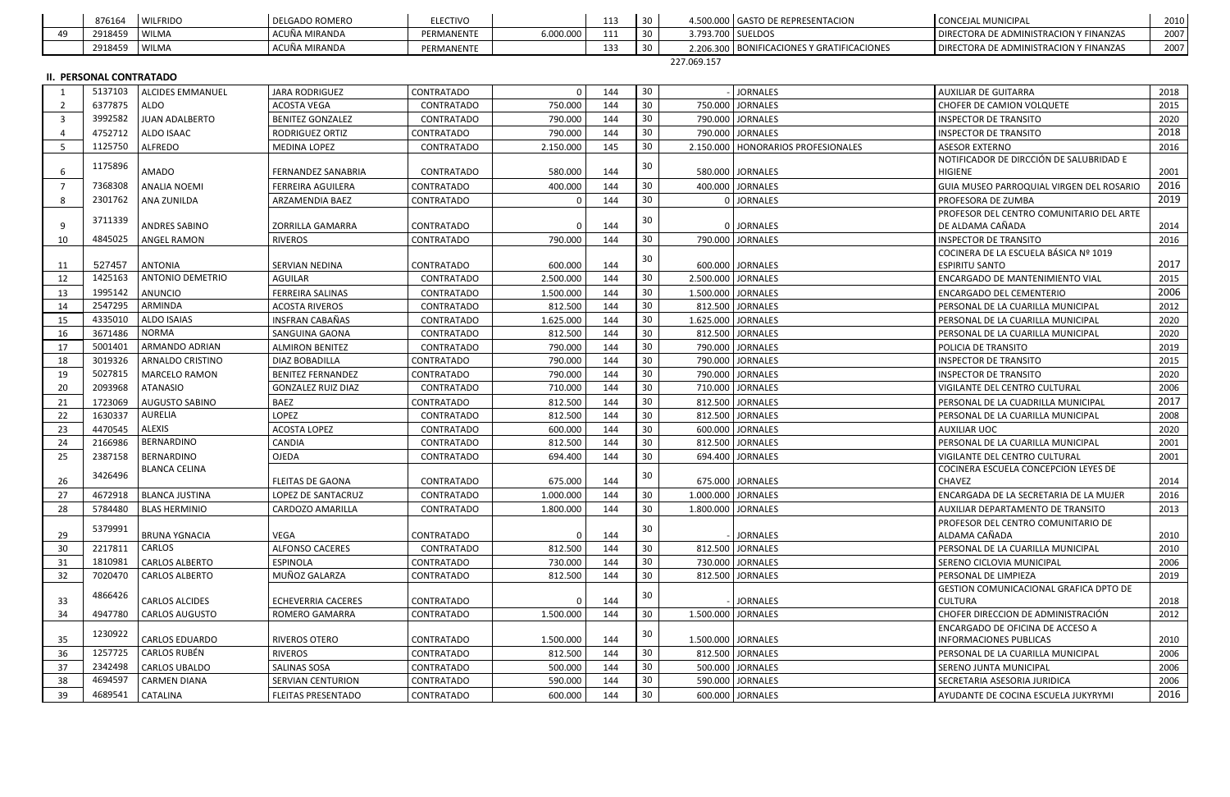|     | 876164                         | <b>WILFRIDO</b>         | <b>DELGADO ROMERO</b>     | <b>ELECTIVO</b>   |           | 113 | 30 <sup>°</sup> |             | 4.500.000 GASTO DE REPRESENTACION          | <b>CONCEJAL MUNICIPAL</b>                     | 2010 |
|-----|--------------------------------|-------------------------|---------------------------|-------------------|-----------|-----|-----------------|-------------|--------------------------------------------|-----------------------------------------------|------|
| 49  | 2918459                        | <b>WILMA</b>            | ACUÑA MIRANDA             | PERMANENTE        | 6.000.000 | 111 | 30              |             | 3.793.700 SUELDOS                          | DIRECTORA DE ADMINISTRACION Y FINANZAS        | 2007 |
|     | 2918459                        | WILMA                   | ACUÑA MIRANDA             | PERMANENTE        |           | 133 | 30              |             | 2.206.300 BONIFICACIONES Y GRATIFICACIONES | DIRECTORA DE ADMINISTRACION Y FINANZAS        | 2007 |
|     |                                |                         |                           |                   |           |     |                 | 227.069.157 |                                            |                                               |      |
|     | <b>II. PERSONAL CONTRATADO</b> |                         |                           |                   |           |     |                 |             |                                            |                                               |      |
|     | 5137103                        | <b>ALCIDES EMMANUEL</b> | <b>JARA RODRIGUEZ</b>     | CONTRATADO        | $\Omega$  | 144 | 30 <sub>o</sub> |             | <b>JORNALES</b>                            | <b>AUXILIAR DE GUITARRA</b>                   | 2018 |
|     | 6377875                        | ALDO                    | <b>ACOSTA VEGA</b>        | CONTRATADO        | 750.000   | 144 | 30              |             | 750.000 JORNALES                           | CHOFER DE CAMION VOLQUETE                     | 2015 |
| -3  | 3992582                        | <b>JUAN ADALBERTO</b>   | <b>BENITEZ GONZALEZ</b>   | <b>CONTRATADO</b> | 790.000   | 144 | 30              |             | 790.000 JORNALES                           | <b>INSPECTOR DE TRANSITO</b>                  | 2020 |
|     | 4752712                        | ALDO ISAAC              | RODRIGUEZ ORTIZ           | CONTRATADO        | 790.000   | 144 | 30              |             | 790.000 JORNALES                           | <b>INSPECTOR DE TRANSITO</b>                  | 2018 |
| - 5 | 1125750                        | <b>ALFREDO</b>          | MEDINA LOPEZ              | CONTRATADO        | 2.150.000 | 145 | 30              |             | 2.150.000   HONORARIOS PROFESIONALES       | <b>ASESOR EXTERNO</b>                         | 2016 |
|     |                                |                         |                           |                   |           |     |                 |             |                                            | NOTIFICADOR DE DIRCCIÓN DE SALUBRIDAD E       |      |
| -6  | 1175896                        | AMADO                   | FERNANDEZ SANABRIA        | CONTRATADO        | 580.000   | 144 | 30              |             | 580.000 JORNALES                           | <b>HIGIENE</b>                                | 2001 |
|     | 7368308                        | <b>ANALIA NOEMI</b>     | <b>FERREIRA AGUILERA</b>  | CONTRATADO        | 400.000   | 144 | 30              |             | 400.000 JORNALES                           | GUIA MUSEO PARROQUIAL VIRGEN DEL ROSARIO      | 2016 |
| -8  | 2301762                        | ANA ZUNILDA             | ARZAMENDIA BAEZ           | CONTRATADO        |           | 144 | 30              |             | 0 JORNALES                                 | PROFESORA DE ZUMBA                            | 2019 |
|     |                                |                         |                           |                   |           |     |                 |             |                                            | PROFESOR DEL CENTRO COMUNITARIO DEL ARTE      |      |
| -9  | 3711339                        | ANDRES SABINO           | <b>ZORRILLA GAMARRA</b>   | CONTRATADO        |           | 144 | 30              |             | 0 JORNALES                                 | DE ALDAMA CAÑADA                              | 2014 |
| 10  | 4845025                        | ANGEL RAMON             | <b>RIVEROS</b>            | CONTRATADO        | 790.000   | 144 | 30              |             | 790.000 JORNALES                           | <b>INSPECTOR DE TRANSITO</b>                  | 2016 |
|     |                                |                         |                           |                   |           |     |                 |             |                                            | COCINERA DE LA ESCUELA BÁSICA Nº 1019         |      |
| 11  | 527457                         | <b>ANTONIA</b>          | <b>SERVIAN NEDINA</b>     | CONTRATADO        | 600.000   | 144 | 30              |             | 600.000 JORNALES                           | <b>ESPIRITU SANTO</b>                         | 2017 |
| 12  | 1425163                        | <b>ANTONIO DEMETRIO</b> | AGUILAR                   | CONTRATADO        | 2.500.000 | 144 | 30              |             | 2.500.000 JORNALES                         | ENCARGADO DE MANTENIMIENTO VIAL               | 2015 |
| -13 | 1995142                        | <b>ANUNCIO</b>          | FERREIRA SALINAS          | CONTRATADO        | 1.500.000 | 144 | 30              |             | 1.500.000 JORNALES                         | <b>ENCARGADO DEL CEMENTERIO</b>               | 2006 |
| 14  | 2547295                        | ARMINDA                 | <b>ACOSTA RIVEROS</b>     | CONTRATADO        | 812.500   | 144 | 30              |             | 812.500 JORNALES                           | PERSONAL DE LA CUARILLA MUNICIPAL             | 2012 |
| 15  | 4335010                        | ALDO ISAIAS             | <b>INSFRAN CABAÑAS</b>    | CONTRATADO        | 1.625.000 | 144 | 30              |             | 1.625.000   JORNALES                       | PERSONAL DE LA CUARILLA MUNICIPAL             | 2020 |
| 16  | 3671486                        | <b>NORMA</b>            | SANGUINA GAONA            | CONTRATADO        | 812.500   | 144 | 30 <sub>o</sub> |             | 812.500 JORNALES                           | PERSONAL DE LA CUARILLA MUNICIPAL             | 2020 |
| 17  | 5001401                        | ARMANDO ADRIAN          | <b>ALMIRON BENITEZ</b>    | CONTRATADO        | 790.000   | 144 | 30              |             | 790.000 JORNALES                           | POLICIA DE TRANSITO                           | 2019 |
| 18  | 3019326                        | ARNALDO CRISTINO        | DIAZ BOBADILLA            | CONTRATADO        | 790.000   | 144 | 30              |             | 790.000 JORNALES                           | <b>INSPECTOR DE TRANSITO</b>                  | 2015 |
| 19  | 5027815                        | MARCELO RAMON           | <b>BENITEZ FERNANDEZ</b>  | CONTRATADO        | 790.000   | 144 | 30              |             | 790.000 JORNALES                           | <b>INSPECTOR DE TRANSITO</b>                  | 2020 |
| 20  | 2093968                        | ATANASIO                | <b>GONZALEZ RUIZ DIAZ</b> | CONTRATADO        | 710.000   | 144 | 30              |             | 710.000 JORNALES                           | VIGILANTE DEL CENTRO CULTURAL                 | 2006 |
| 21  | 1723069                        | AUGUSTO SABINO          | BAEZ                      | CONTRATADO        | 812.500   | 144 | 30              |             | 812.500 JORNALES                           | PERSONAL DE LA CUADRILLA MUNICIPAL            | 2017 |
| 22  | 1630337                        | AURELIA                 | LOPEZ                     | CONTRATADO        | 812.500   | 144 | 30              |             | 812.500 JORNALES                           | PERSONAL DE LA CUARILLA MUNICIPAL             | 2008 |
| 23  | 4470545                        | ALEXIS                  | <b>ACOSTA LOPEZ</b>       | CONTRATADO        | 600.000   | 144 | 30              |             | 600.000 JORNALES                           | <b>AUXILIAR UOC</b>                           | 2020 |
| -24 | 2166986                        | BERNARDINO              | CANDIA                    | CONTRATADO        | 812.500   | 144 | 30              |             | 812.500 JORNALES                           | PERSONAL DE LA CUARILLA MUNICIPAL             | 2001 |
| 25  | 2387158                        | BERNARDINO              | <b>OJEDA</b>              | CONTRATADO        | 694.400   | 144 | 30              |             | 694.400 JORNALES                           | VIGILANTE DEL CENTRO CULTURAL                 | 2001 |
|     |                                | BLANCA CELINA           |                           |                   |           |     |                 |             |                                            | COCINERA ESCUELA CONCEPCION LEYES DE          |      |
| 26  | 3426496                        |                         | <b>FLEITAS DE GAONA</b>   | CONTRATADO        | 675.000   | 144 | 30              |             | 675.000 JORNALES                           | <b>CHAVEZ</b>                                 | 2014 |
| 27  | 4672918                        | <b>BLANCA JUSTINA</b>   | LOPEZ DE SANTACRUZ        | CONTRATADO        | 1.000.000 | 144 | 30              |             | 1.000.000 JORNALES                         | ENCARGADA DE LA SECRETARIA DE LA MUJER        | 2016 |
| 28  | 5784480                        | <b>BLAS HERMINIO</b>    | CARDOZO AMARILLA          | CONTRATADO        | 1.800.000 | 144 | 30              |             | 1.800.000 JORNALES                         | AUXILIAR DEPARTAMENTO DE TRANSITO             | 2013 |
|     | 5379991                        |                         |                           |                   |           |     | 30              |             |                                            | PROFESOR DEL CENTRO COMUNITARIO DE            |      |
| 29  |                                | <b>BRUNA YGNACIA</b>    | <b>VEGA</b>               | CONTRATADO        |           | 144 |                 |             | <b>JORNALES</b>                            | ALDAMA CAÑADA                                 | 2010 |
| -30 | 2217811                        | CARLOS                  | <b>ALFONSO CACERES</b>    | CONTRATADO        | 812.500   | 144 | 30              |             | 812.500 JORNALES                           | PERSONAL DE LA CUARILLA MUNICIPAL             | 2010 |
| 31  | 1810981                        | <b>CARLOS ALBERTO</b>   | <b>ESPINOLA</b>           | CONTRATADO        | 730.000   | 144 | 30              |             | 730.000 JORNALES                           | SERENO CICLOVIA MUNICIPAL                     | 2006 |
| 32  | 7020470                        | <b>CARLOS ALBERTO</b>   | MUÑOZ GALARZA             | CONTRATADO        | 812.500   | 144 | 30              |             | 812.500 JORNALES                           | PERSONAL DE LIMPIEZA                          | 2019 |
|     | 4866426                        |                         |                           |                   |           |     | 30              |             |                                            | <b>GESTION COMUNICACIONAL GRAFICA DPTO DE</b> |      |
| 33  |                                | <b>CARLOS ALCIDES</b>   | ECHEVERRIA CACERES        | CONTRATADO        | $\Omega$  | 144 |                 |             | <b>JORNALES</b>                            | <b>CULTURA</b>                                | 2018 |
| 34  | 4947780                        | <b>CARLOS AUGUSTO</b>   | ROMERO GAMARRA            | CONTRATADO        | 1.500.000 | 144 | 30              |             | 1.500.000   JORNALES                       | CHOFER DIRECCION DE ADMINISTRACIÓN            | 2012 |
|     | 1230922                        |                         |                           |                   |           |     | 30              |             |                                            | ENCARGADO DE OFICINA DE ACCESO A              |      |
| 35  |                                | <b>CARLOS EDUARDO</b>   | <b>RIVEROS OTERO</b>      | CONTRATADO        | 1.500.000 | 144 |                 |             | 1.500.000 JORNALES                         | <b>INFORMACIONES PUBLICAS</b>                 | 2010 |
| 36  | 1257725                        | CARLOS RUBÉN            | <b>RIVEROS</b>            | CONTRATADO        | 812.500   | 144 | 30 <sub>o</sub> |             | 812.500 JORNALES                           | PERSONAL DE LA CUARILLA MUNICIPAL             | 2006 |
| 37  | 2342498                        | CARLOS UBALDO           | SALINAS SOSA              | CONTRATADO        | 500.000   | 144 | 30              |             | 500.000 JORNALES                           | SERENO JUNTA MUNICIPAL                        | 2006 |
| 38  | 4694597                        | <b>CARMEN DIANA</b>     | SERVIAN CENTURION         | CONTRATADO        | 590.000   | 144 | 30 <sub>o</sub> |             | 590.000 JORNALES                           | SECRETARIA ASESORIA JURIDICA                  | 2006 |
| 39  | 4689541                        | CATALINA                | <b>FLEITAS PRESENTADO</b> | CONTRATADO        | 600.000   | 144 | 30 <sup>°</sup> |             | 600.000 JORNALES                           | AYUDANTE DE COCINA ESCUELA JUKYRYMI           | 2016 |

| <b>CONCEJAL MUNICIPAL</b>              | -2010 |
|----------------------------------------|-------|
| DIRECTORA DE ADMINISTRACION Y FINANZAS | 2007  |
| DIRECTORA DE ADMINISTRACION Y FINANZAS | 2007  |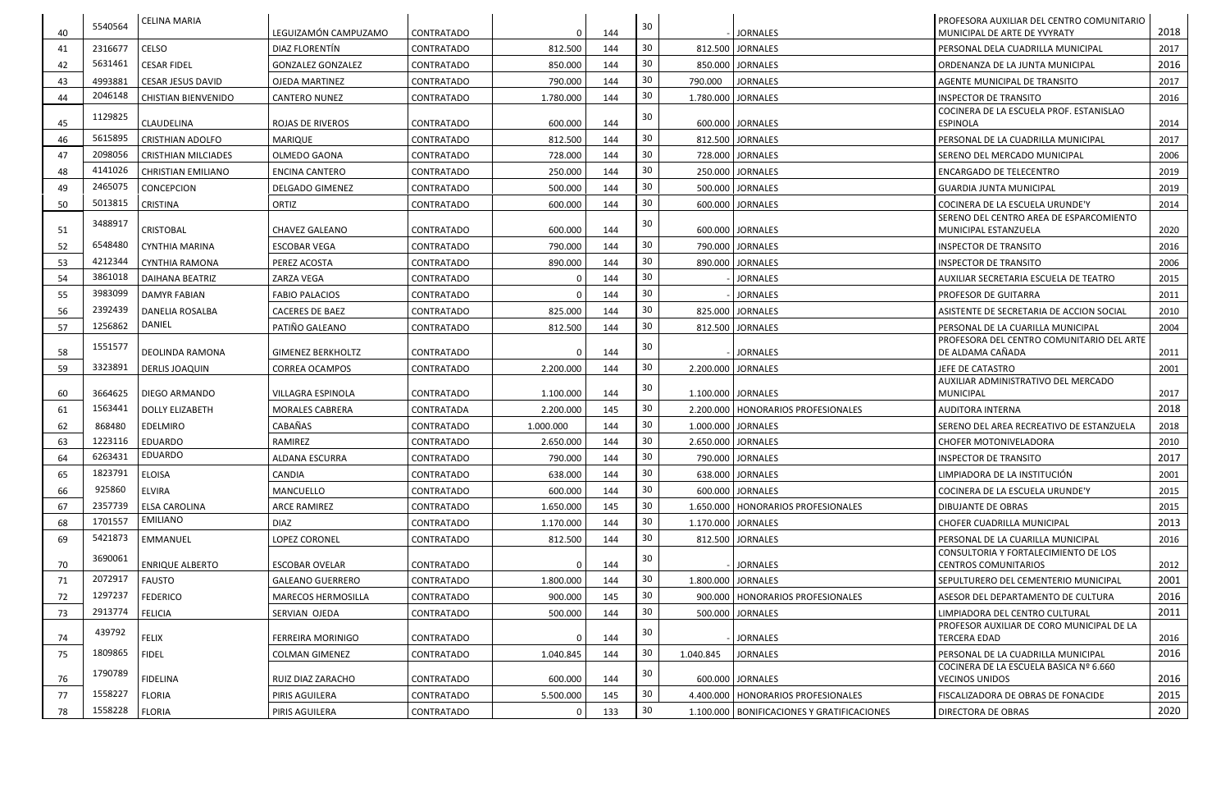| 40  | 5540564 | <b>CELINA MARIA</b>              | LEGUIZAMÓN CAMPUZAMO      | <b>CONTRATADO</b> |           | 144 | 30  |           | <b>JORNALES</b>                              | PROFESORA AUXILIAR DEL CENTRO COMUNITARIO<br>MUNICIPAL DE ARTE DE YVYRATY      | 2018 |
|-----|---------|----------------------------------|---------------------------|-------------------|-----------|-----|-----|-----------|----------------------------------------------|--------------------------------------------------------------------------------|------|
| 41  | 2316677 | <b>CELSO</b>                     | DIAZ FLORENTIN            | CONTRATADO        | 812.500   | 144 | 30  |           | 812.500 JORNALES                             | PERSONAL DELA CUADRILLA MUNICIPAL                                              | 2017 |
| 42  | 5631461 | <b>CESAR FIDEL</b>               | <b>GONZALEZ GONZALEZ</b>  | CONTRATADO        | 850.000   | 144 | 30  |           | 850.000 JORNALES                             | ORDENANZA DE LA JUNTA MUNICIPAL                                                | 2016 |
| 43  | 4993881 | <b>CESAR JESUS DAVID</b>         | <b>OJEDA MARTINEZ</b>     | CONTRATADO        | 790.000   | 144 | 30  | 790.000   | <b>JORNALES</b>                              | AGENTE MUNICIPAL DE TRANSITO                                                   | 2017 |
| 44  | 2046148 | <b>CHISTIAN BIENVENIDO</b>       | <b>CANTERO NUNEZ</b>      | CONTRATADO        | 1.780.000 | 144 | 30  |           | 1.780.000 JORNALES                           | <b>INSPECTOR DE TRANSITO</b>                                                   | 2016 |
|     |         |                                  |                           |                   |           |     |     |           |                                              | COCINERA DE LA ESCUELA PROF. ESTANISLAO                                        |      |
| 45  | 1129825 | CLAUDELINA                       | <b>ROJAS DE RIVEROS</b>   | CONTRATADO        | 600.000   | 144 | 30  |           | 600.000 JORNALES                             | <b>ESPINOLA</b>                                                                | 2014 |
| 46  | 5615895 | <b>CRISTHIAN ADOLFO</b>          | MARIQUE                   | CONTRATADO        | 812.500   | 144 | 30  |           | 812.500 JORNALES                             | PERSONAL DE LA CUADRILLA MUNICIPAL                                             | 2017 |
| 47  | 2098056 | <b>CRISTHIAN MILCIADES</b>       | OLMEDO GAONA              | CONTRATADO        | 728.000   | 144 | 30  |           | 728.000 JORNALES                             | SERENO DEL MERCADO MUNICIPAL                                                   | 2006 |
| 48  | 4141026 | <b>CHRISTIAN EMILIANO</b>        | <b>ENCINA CANTERO</b>     | CONTRATADO        | 250.000   | 144 | 30  |           | 250.000 JORNALES                             | <b>ENCARGADO DE TELECENTRO</b>                                                 | 2019 |
| 49  | 2465075 | CONCEPCION                       | <b>DELGADO GIMENEZ</b>    | CONTRATADO        | 500.000   | 144 | 30  |           | 500.000 JORNALES                             | GUARDIA JUNTA MUNICIPAL                                                        | 2019 |
| 50  | 5013815 | <b>CRISTINA</b>                  | ORTIZ                     | CONTRATADO        | 600.000   | 144 | 30  |           | 600.000 JORNALES                             | COCINERA DE LA ESCUELA URUNDE'Y                                                | 2014 |
|     | 3488917 |                                  |                           |                   |           |     | -30 |           |                                              | SERENO DEL CENTRO AREA DE ESPARCOMIENTO                                        |      |
| 51  | 6548480 | CRISTOBAL                        | <b>CHAVEZ GALEANO</b>     | CONTRATADO        | 600.000   | 144 | 30  |           | 600.000 JORNALES                             | MUNICIPAL ESTANZUELA                                                           | 2020 |
| 52  | 4212344 | <b>CYNTHIA MARINA</b>            | <b>ESCOBAR VEGA</b>       | CONTRATADO        | 790.000   | 144 | 30  |           | 790.000 JORNALES                             | <b>INSPECTOR DE TRANSITO</b>                                                   | 2016 |
| 53  | 3861018 | <b>CYNTHIA RAMONA</b>            | PEREZ ACOSTA              | CONTRATADO        | 890.000   | 144 | 30  |           | 890.000 JORNALES                             | <b>INSPECTOR DE TRANSITO</b>                                                   | 2006 |
| 54  | 3983099 | <b>DAIHANA BEATRIZ</b>           | ZARZA VEGA                | CONTRATADO        |           | 144 | 30  |           | <b>JORNALES</b>                              | AUXILIAR SECRETARIA ESCUELA DE TEATRO                                          | 2015 |
| 55  | 2392439 | <b>DAMYR FABIAN</b>              | <b>FABIO PALACIOS</b>     | CONTRATADO        |           | 144 | 30  |           | <b>JORNALES</b>                              | <b>PROFESOR DE GUITARRA</b>                                                    | 2011 |
| 56  | 1256862 | <b>DANELIA ROSALBA</b><br>DANIEL | <b>CACERES DE BAEZ</b>    | CONTRATADO        | 825.000   | 144 | 30  |           | 825.000 JORNALES                             | ASISTENTE DE SECRETARIA DE ACCION SOCIAL                                       | 2010 |
| 57  |         |                                  | PATIÑO GALEANO            | <b>CONTRATADO</b> | 812.500   | 144 |     |           | 812.500 JORNALES                             | PERSONAL DE LA CUARILLA MUNICIPAL<br>PROFESORA DEL CENTRO COMUNITARIO DEL ARTE | 2004 |
| 58  | 1551577 | DEOLINDA RAMONA                  | <b>GIMENEZ BERKHOLTZ</b>  | CONTRATADO        |           | 144 | 30  |           | <b>JORNALES</b>                              | DE ALDAMA CAÑADA                                                               | 2011 |
| 59  | 3323891 | <b>DERLIS JOAQUIN</b>            | CORREA OCAMPOS            | CONTRATADO        | 2.200.000 | 144 | 30  |           | 2.200.000 JORNALES                           | JEFE DE CATASTRO                                                               | 2001 |
|     |         |                                  |                           |                   |           |     | 30  |           |                                              | AUXILIAR ADMINISTRATIVO DEL MERCADO                                            |      |
| -60 | 3664625 | DIEGO ARMANDO                    | VILLAGRA ESPINOLA         | <b>CONTRATADO</b> | 1.100.000 | 144 |     |           | 1.100.000 JORNALES                           | <b>MUNICIPAL</b>                                                               | 2017 |
| 61  | 1563441 | <b>DOLLY ELIZABETH</b>           | <b>MORALES CABRERA</b>    | CONTRATADA        | 2.200.000 | 145 | 30  |           | 2.200.000   HONORARIOS PROFESIONALES         | AUDITORA INTERNA                                                               | 2018 |
| 62  | 868480  | EDELMIRO                         | CABAÑAS                   | CONTRATADO        | 1.000.000 | 144 | 30  |           | 1.000.000 JORNALES                           | SERENO DEL AREA RECREATIVO DE ESTANZUELA                                       | 2018 |
| 63  | 1223116 | <b>EDUARDO</b><br>EDUARDO        | RAMIREZ                   | CONTRATADO        | 2.650.000 | 144 | 30  |           | 2.650.000 JORNALES                           | <b>CHOFER MOTONIVELADORA</b>                                                   | 2010 |
| 64  | 6263431 |                                  | ALDANA ESCURRA            | <b>CONTRATADO</b> | 790.000   | 144 | 30  |           | 790.000 JORNALES                             | <b>INSPECTOR DE TRANSITO</b>                                                   | 2017 |
| 65  | 1823791 | <b>ELOISA</b>                    | CANDIA                    | CONTRATADO        | 638.000   | 144 | 30  |           | 638.000 JORNALES                             | LIMPIADORA DE LA INSTITUCIÓN                                                   | 2001 |
| 66  | 925860  | <b>ELVIRA</b>                    | MANCUELLO                 | CONTRATADO        | 600.000   | 144 | 30  |           | 600.000 JORNALES                             | COCINERA DE LA ESCUELA URUNDE'Y                                                | 2015 |
| 67  | 2357739 | <b>ELSA CAROLINA</b>             | <b>ARCE RAMIREZ</b>       | CONTRATADO        | 1.650.000 | 145 | 30  |           | 1.650.000   HONORARIOS PROFESIONALES         | <b>DIBUJANTE DE OBRAS</b>                                                      | 2015 |
| 68  | 1701557 | <b>EMILIANO</b>                  | <b>DIAZ</b>               | CONTRATADO        | 1.170.000 | 144 | 30  |           | 1.170.000 JORNALES                           | CHOFER CUADRILLA MUNICIPAL                                                     | 2013 |
| 69  | 5421873 | EMMANUEL                         | LOPEZ CORONEL             | CONTRATADO        | 812.500   | 144 | 30  |           | 812.500 JORNALES                             | PERSONAL DE LA CUARILLA MUNICIPAL                                              | 2016 |
| 70  | 3690061 | <b>ENRIQUE ALBERTO</b>           | <b>ESCOBAR OVELAR</b>     | CONTRATADO        |           | 144 | 30  |           | <b>JORNALES</b>                              | CONSULTORIA Y FORTALECIMIENTO DE LOS<br><b>CENTROS COMUNITARIOS</b>            | 2012 |
| 71  | 2072917 | <b>FAUSTO</b>                    | <b>GALEANO GUERRERO</b>   | CONTRATADO        | 1.800.000 | 144 | 30  |           | 1.800.000 JORNALES                           | SEPULTURERO DEL CEMENTERIO MUNICIPAL                                           | 2001 |
| 72  | 1297237 | <b>FEDERICO</b>                  | <b>MARECOS HERMOSILLA</b> | CONTRATADO        | 900.000   | 145 | 30  |           | 900.000   HONORARIOS PROFESIONALES           | ASESOR DEL DEPARTAMENTO DE CULTURA                                             | 2016 |
| 73  | 2913774 | <b>FELICIA</b>                   | SERVIAN OJEDA             | CONTRATADO        | 500.000   | 144 | 30  |           | 500.000 JORNALES                             | LIMPIADORA DEL CENTRO CULTURAL                                                 | 2011 |
|     | 439792  |                                  |                           |                   |           |     | 30  |           |                                              | PROFESOR AUXILIAR DE CORO MUNICIPAL DE LA                                      |      |
| 74  |         | <b>FELIX</b>                     | FERREIRA MORINIGO         | CONTRATADO        |           | 144 |     |           | <b>JORNALES</b>                              | <b>TERCERA EDAD</b>                                                            | 2016 |
| 75  | 1809865 | <b>FIDEL</b>                     | <b>COLMAN GIMENEZ</b>     | CONTRATADO        | 1.040.845 | 144 | 30  | 1.040.845 | <b>JORNALES</b>                              | PERSONAL DE LA CUADRILLA MUNICIPAL                                             | 2016 |
| 76  | 1790789 | <b>FIDELINA</b>                  | RUIZ DIAZ ZARACHO         | <b>CONTRATADO</b> | 600.000   | 144 | 30  |           | 600.000 JORNALES                             | COCINERA DE LA ESCUELA BASICA Nº 6.660<br><b>VECINOS UNIDOS</b>                | 2016 |
| 77  | 1558227 | <b>FLORIA</b>                    | PIRIS AGUILERA            | CONTRATADO        | 5.500.000 | 145 | 30  |           | 4.400.000   HONORARIOS PROFESIONALES         | FISCALIZADORA DE OBRAS DE FONACIDE                                             | 2015 |
|     | 1558228 |                                  |                           |                   |           |     | 30  |           |                                              |                                                                                | 2020 |
| 78  |         | <b>FLORIA</b>                    | PIRIS AGUILERA            | CONTRATADO        |           | 133 |     |           | 1.100.000   BONIFICACIONES Y GRATIFICACIONES | <b>DIRECTORA DE OBRAS</b>                                                      |      |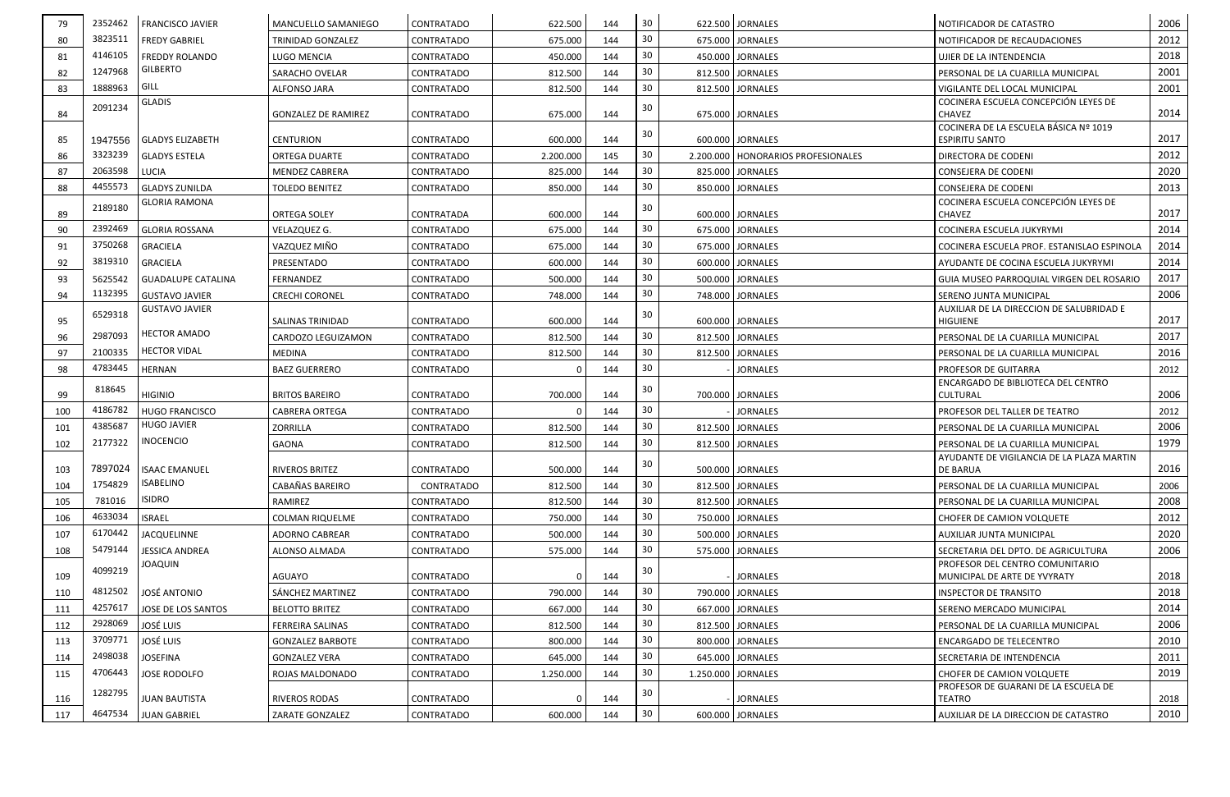| 79  | 2352462            | <b>FRANCISCO JAVIER</b>                       | MANCUELLO SAMANIEGO        | CONTRATADO        | 622.500   | 144 | 30  | 622.500 JORNALES                     | NOTIFICADOR DE CATASTRO                                            | 2006 |
|-----|--------------------|-----------------------------------------------|----------------------------|-------------------|-----------|-----|-----|--------------------------------------|--------------------------------------------------------------------|------|
| -80 | 3823511            | <b>FREDY GABRIEL</b>                          | TRINIDAD GONZALEZ          | CONTRATADO        | 675.000   | 144 | 30  | 675.000 JORNALES                     | NOTIFICADOR DE RECAUDACIONES                                       | 2012 |
| 81  | 4146105            | <b>FREDDY ROLANDO</b>                         | LUGO MENCIA                | CONTRATADO        | 450.000   | 144 | 30  | 450.000   JORNALES                   | UJIER DE LA INTENDENCIA                                            | 2018 |
| 82  | 1247968            | <b>GILBERTO</b>                               | SARACHO OVELAR             | CONTRATADO        | 812.500   | 144 | 30  | 812.500 JORNALES                     | PERSONAL DE LA CUARILLA MUNICIPAL                                  | 2001 |
| 83  | 1888963            | GILL                                          | <b>ALFONSO JARA</b>        | CONTRATADO        | 812.500   | 144 | 30  | 812.500 JORNALES                     | VIGILANTE DEL LOCAL MUNICIPAL                                      | 2001 |
| 84  | 2091234            | <b>GLADIS</b>                                 | <b>GONZALEZ DE RAMIREZ</b> | CONTRATADO        | 675.000   | 144 | 30  | 675.000 JORNALES                     | COCINERA ESCUELA CONCEPCIÓN LEYES DE<br>CHAVEZ                     | 2014 |
|     |                    |                                               |                            |                   |           |     | 30  |                                      | COCINERA DE LA ESCUELA BÁSICA Nº 1019                              |      |
| 85  | 1947556<br>3323239 | <b>GLADYS ELIZABETH</b>                       | <b>CENTURION</b>           | <b>CONTRATADO</b> | 600.000   | 144 | 30  | 600.000 JORNALES                     | <b>ESPIRITU SANTO</b>                                              | 2017 |
| 86  | 2063598            | <b>GLADYS ESTELA</b>                          | <b>ORTEGA DUARTE</b>       | CONTRATADO        | 2.200.000 | 145 | 30  | 2.200.000   HONORARIOS PROFESIONALES | <b>DIRECTORA DE CODENI</b>                                         | 2012 |
| 87  | 4455573            | LUCIA                                         | <b>MENDEZ CABRERA</b>      | CONTRATADO        | 825.000   | 144 | 30  | 825.000 JORNALES                     | CONSEJERA DE CODENI                                                | 2020 |
| 88  |                    | <b>GLADYS ZUNILDA</b><br><b>GLORIA RAMONA</b> | <b>TOLEDO BENITEZ</b>      | CONTRATADO        | 850.000   | 144 |     | 850.000 JORNALES                     | <b>CONSEJERA DE CODENI</b><br>COCINERA ESCUELA CONCEPCIÓN LEYES DE | 2013 |
| 89  | 2189180            |                                               | ORTEGA SOLEY               | CONTRATADA        | 600.000   | 144 | 30  | 600.000 JORNALES                     | <b>CHAVEZ</b>                                                      | 2017 |
| 90  | 2392469            | <b>GLORIA ROSSANA</b>                         | VELAZQUEZ G.               | CONTRATADO        | 675.000   | 144 | 30  | 675.000 JORNALES                     | COCINERA ESCUELA JUKYRYMI                                          | 2014 |
| 91  | 3750268            | <b>GRACIELA</b>                               | VAZQUEZ MIÑO               | CONTRATADO        | 675.000   | 144 | 30  | 675.000 JORNALES                     | COCINERA ESCUELA PROF. ESTANISLAO ESPINOLA                         | 2014 |
| 92  | 3819310            | GRACIELA                                      | PRESENTADO                 | CONTRATADO        | 600.000   | 144 | 30  | 600.000 JORNALES                     | AYUDANTE DE COCINA ESCUELA JUKYRYMI                                | 2014 |
| 93  | 5625542            | <b>GUADALUPE CATALINA</b>                     | FERNANDEZ                  | CONTRATADO        | 500.000   | 144 | 30  | 500.000 JORNALES                     | GUIA MUSEO PARROQUIAL VIRGEN DEL ROSARIO                           | 2017 |
| 94  | 1132395            | <b>GUSTAVO JAVIER</b>                         | <b>CRECHI CORONEL</b>      | CONTRATADO        | 748.000   | 144 | 30  | 748.000 JORNALES                     | SERENO JUNTA MUNICIPAL                                             | 2006 |
| 95  | 6529318            | <b>GUSTAVO JAVIER</b>                         | <b>SALINAS TRINIDAD</b>    | CONTRATADO        | 600.000   | 144 | -30 | 600.000 JORNALES                     | AUXILIAR DE LA DIRECCION DE SALUBRIDAD E<br><b>HIGUIENE</b>        | 2017 |
| 96  | 2987093            | <b>HECTOR AMADO</b>                           | CARDOZO LEGUIZAMON         | CONTRATADO        | 812.500   | 144 | 30  | 812.500 JORNALES                     | PERSONAL DE LA CUARILLA MUNICIPAL                                  | 2017 |
| 97  | 2100335            | <b>HECTOR VIDAL</b>                           | <b>MEDINA</b>              | CONTRATADO        | 812.500   | 144 | 30  | 812.500 JORNALES                     | PERSONAL DE LA CUARILLA MUNICIPAL                                  | 2016 |
| 98  | 4783445            | <b>HERNAN</b>                                 | <b>BAEZ GUERRERO</b>       | CONTRATADO        |           | 144 | 30  | <b>JORNALES</b>                      | <b>PROFESOR DE GUITARRA</b>                                        | 2012 |
| 99  | 818645             | <b>HIGINIO</b>                                | <b>BRITOS BAREIRO</b>      | CONTRATADO        | 700.000   | 144 | 30  | 700.000 JORNALES                     | ENCARGADO DE BIBLIOTECA DEL CENTRO<br>CULTURAL                     | 2006 |
| 100 | 4186782            | HUGO FRANCISCO                                | <b>CABRERA ORTEGA</b>      | CONTRATADO        |           | 144 | 30  | <b>JORNALES</b>                      | PROFESOR DEL TALLER DE TEATRO                                      | 2012 |
| 101 | 4385687            | <b>HUGO JAVIER</b>                            | ZORRILLA                   | CONTRATADO        | 812.500   | 144 | 30  | 812.500 JORNALES                     | PERSONAL DE LA CUARILLA MUNICIPAL                                  | 2006 |
| 102 | 2177322            | <b>INOCENCIO</b>                              | <b>GAONA</b>               | CONTRATADO        | 812.500   | 144 | 30  | 812.500 JORNALES                     | PERSONAL DE LA CUARILLA MUNICIPAL                                  | 1979 |
| 103 | 7897024            | <b>ISAAC EMANUEL</b>                          | <b>RIVEROS BRITEZ</b>      | <b>CONTRATADO</b> | 500.000   | 144 | 30  | 500.000 JORNALES                     | AYUDANTE DE VIGILANCIA DE LA PLAZA MARTIN<br><b>DE BARUA</b>       | 2016 |
| 104 | 1754829            | <b>ISABELINO</b>                              | CABAÑAS BAREIRO            | CONTRATADO        | 812.500   | 144 | 30  | 812.500 JORNALES                     | PERSONAL DE LA CUARILLA MUNICIPAL                                  | 2006 |
| 105 | 781016             | <b>ISIDRO</b>                                 | RAMIREZ                    | CONTRATADO        | 812.500   | 144 | 30  | 812.500 JORNALES                     | PERSONAL DE LA CUARILLA MUNICIPAL                                  | 2008 |
| 106 | 4633034            | <b>ISRAEL</b>                                 | <b>COLMAN RIQUELME</b>     | CONTRATADO        | 750.000   | 144 | 30  | 750.000 JORNALES                     | CHOFER DE CAMION VOLQUETE                                          | 2012 |
| 107 | 6170442            | JACQUELINNE                                   | ADORNO CABREAR             | CONTRATADO        | 500.000   | 144 | 30  | 500.000 JORNALES                     | AUXILIAR JUNTA MUNICIPAL                                           | 2020 |
| 108 | 5479144            | <b>JESSICA ANDREA</b>                         | ALONSO ALMADA              | CONTRATADO        | 575.000   | 144 | 30  | 575.000 JORNALES                     | SECRETARIA DEL DPTO. DE AGRICULTURA                                | 2006 |
| 109 | 4099219            | JOAQUIN                                       | AGUAYO                     | CONTRATADO        |           | 144 | 30  | <b>JORNALES</b>                      | PROFESOR DEL CENTRO COMUNITARIO<br>MUNICIPAL DE ARTE DE YVYRATY    | 2018 |
| 110 | 4812502            | <b>JOSÉ ANTONIO</b>                           | SÁNCHEZ MARTINEZ           | CONTRATADO        | 790.000   | 144 | 30  | 790.000 JORNALES                     | INSPECTOR DE TRANSITO                                              | 2018 |
| 111 | 4257617            | JOSE DE LOS SANTOS                            | <b>BELOTTO BRITEZ</b>      | CONTRATADO        | 667.000   | 144 | 30  | 667.000 JORNALES                     | <b>SERENO MERCADO MUNICIPAL</b>                                    | 2014 |
| 112 | 2928069            | JOSÉ LUIS                                     | <b>FERREIRA SALINAS</b>    | CONTRATADO        | 812.500   | 144 | 30  | 812.500 JORNALES                     | PERSONAL DE LA CUARILLA MUNICIPAL                                  | 2006 |
| 113 | 3709771            | JOSÉ LUIS                                     | <b>GONZALEZ BARBOTE</b>    | CONTRATADO        | 800.000   | 144 | 30  | 800.000 JORNALES                     | ENCARGADO DE TELECENTRO                                            | 2010 |
| 114 | 2498038            | <b>JOSEFINA</b>                               | <b>GONZALEZ VERA</b>       | CONTRATADO        | 645.000   | 144 | 30  | 645.000 JORNALES                     | SECRETARIA DE INTENDENCIA                                          | 2011 |
| 115 | 4706443            | JOSE RODOLFO                                  | ROJAS MALDONADO            | CONTRATADO        | 1.250.000 | 144 | 30  | 1.250.000 JORNALES                   | <b>CHOFER DE CAMION VOLQUETE</b>                                   | 2019 |
| 116 | 1282795            | <b>JUAN BAUTISTA</b>                          | <b>RIVEROS RODAS</b>       | CONTRATADO        |           | 144 | 30  | <b>JORNALES</b>                      | PROFESOR DE GUARANI DE LA ESCUELA DE<br><b>TEATRO</b>              | 2018 |
| 117 | 4647534            | <b>JUAN GABRIEL</b>                           | ZARATE GONZALEZ            | CONTRATADO        | 600.000   | 144 | 30  | 600.000 JORNALES                     | AUXILIAR DE LA DIRECCION DE CATASTRO                               | 2010 |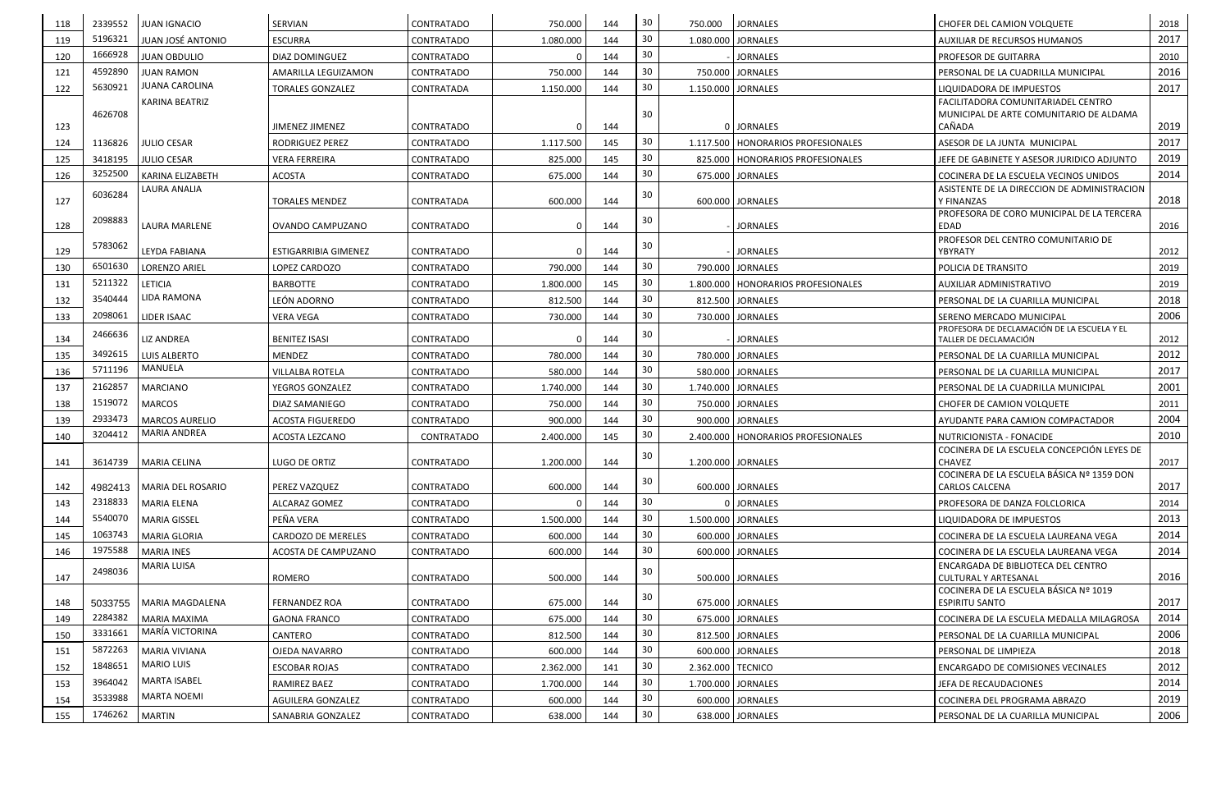| 118 | 2339552 | <b>JUAN IGNACIO</b>         | SERVIAN                 | <b>CONTRATADO</b> | 750.000   | 144 | 30  | 750.000            | <b>JORNALES</b>                      | <b>CHOFER DEL CAMION VOLQUETE</b>                                    | 2018 |
|-----|---------|-----------------------------|-------------------------|-------------------|-----------|-----|-----|--------------------|--------------------------------------|----------------------------------------------------------------------|------|
| 119 | 5196321 | <b>JUAN JOSÉ ANTONIO</b>    | <b>ESCURRA</b>          | <b>CONTRATADO</b> | 1.080.000 | 144 | 30  | 1.080.000 JORNALES |                                      | AUXILIAR DE RECURSOS HUMANOS                                         | 2017 |
| 120 | 1666928 | <b>JUAN OBDULIO</b>         | DIAZ DOMINGUEZ          | <b>CONTRATADO</b> |           | 144 | 30  |                    | <b>JORNALES</b>                      | <b>PROFESOR DE GUITARRA</b>                                          | 2010 |
| 121 | 4592890 | <b>JUAN RAMON</b>           | AMARILLA LEGUIZAMON     | <b>CONTRATADO</b> | 750.000   | 144 | 30  |                    | 750.000 JORNALES                     | PERSONAL DE LA CUADRILLA MUNICIPAL                                   | 2016 |
| 122 | 5630921 | <b>JUANA CAROLINA</b>       | <b>TORALES GONZALEZ</b> | <b>CONTRATADA</b> | 1.150.000 | 144 | 30  | 1.150.000 JORNALES |                                      | LIQUIDADORA DE IMPUESTOS                                             | 2017 |
|     |         | <b>KARINA BEATRIZ</b>       |                         |                   |           |     |     |                    |                                      | FACILITADORA COMUNITARIADEL CENTRO                                   |      |
| 123 | 4626708 |                             | JIMENEZ JIMENEZ         | <b>CONTRATADO</b> | 0         | 144 | 30  |                    | 0 JORNALES                           | MUNICIPAL DE ARTE COMUNITARIO DE ALDAMA<br>CAÑADA                    | 2019 |
| 124 | 1136826 | <b>JULIO CESAR</b>          | <b>RODRIGUEZ PEREZ</b>  | <b>CONTRATADO</b> | 1.117.500 | 145 | 30  |                    | 1.117.500   HONORARIOS PROFESIONALES | ASESOR DE LA JUNTA MUNICIPAL                                         | 2017 |
| 125 | 3418195 | <b>JULIO CESAR</b>          | <b>VERA FERREIRA</b>    | <b>CONTRATADO</b> | 825.000   | 145 | 30  |                    | 825,000   HONORARIOS PROFESIONALES   | JEFE DE GABINETE Y ASESOR JURIDICO ADJUNTO                           | 2019 |
| 126 | 3252500 | KARINA ELIZABETH            | <b>ACOSTA</b>           | <b>CONTRATADO</b> | 675.000   | 144 | 30  |                    | 675.000 JORNALES                     | COCINERA DE LA ESCUELA VECINOS UNIDOS                                | 2014 |
|     | 6036284 | LAURA ANALIA                |                         |                   |           |     | 30  |                    |                                      | ASISTENTE DE LA DIRECCION DE ADMINISTRACION                          |      |
| 127 |         |                             | <b>TORALES MENDEZ</b>   | <b>CONTRATADA</b> | 600.000   | 144 |     |                    | 600.000 JORNALES                     | Y FINANZAS                                                           | 2018 |
| 128 | 2098883 | LAURA MARLENE               | OVANDO CAMPUZANO        | <b>CONTRATADO</b> | $\Omega$  | 144 | 30  |                    | <b>JORNALES</b>                      | PROFESORA DE CORO MUNICIPAL DE LA TERCERA<br><b>EDAD</b>             | 2016 |
|     | 5783062 |                             |                         |                   |           |     | 30  |                    |                                      | PROFESOR DEL CENTRO COMUNITARIO DE                                   |      |
| 129 |         | LEYDA FABIANA               | ESTIGARRIBIA GIMENEZ    | <b>CONTRATADO</b> | $\Omega$  | 144 |     |                    | <b>JORNALES</b>                      | YBYRATY                                                              | 2012 |
| 130 | 6501630 | <b>LORENZO ARIEL</b>        | LOPEZ CARDOZO           | <b>CONTRATADO</b> | 790.000   | 144 | 30  |                    | 790.000 JORNALES                     | POLICIA DE TRANSITO                                                  | 2019 |
| 131 | 5211322 | <b>LETICIA</b>              | <b>BARBOTTE</b>         | <b>CONTRATADO</b> | 1.800.000 | 145 | 30  |                    | 1.800.000   HONORARIOS PROFESIONALES | AUXILIAR ADMINISTRATIVO                                              | 2019 |
| 132 | 3540444 | LIDA RAMONA                 | LEÓN ADORNO             | <b>CONTRATADO</b> | 812.500   | 144 | 30  |                    | 812.500 JORNALES                     | PERSONAL DE LA CUARILLA MUNICIPAL                                    | 2018 |
| 133 | 2098061 | LIDER ISAAC                 | <b>VERA VEGA</b>        | <b>CONTRATADO</b> | 730.000   | 144 | 30  |                    | 730.000 JORNALES                     | SERENO MERCADO MUNICIPAL                                             | 2006 |
| 134 | 2466636 | <b>LIZ ANDREA</b>           | <b>BENITEZ ISASI</b>    | <b>CONTRATADO</b> |           | 144 | 30  |                    | <b>JORNALES</b>                      | PROFESORA DE DECLAMACIÓN DE LA ESCUELA Y EL<br>TALLER DE DECLAMACIÓN | 2012 |
| 135 | 3492615 | <b>LUIS ALBERTO</b>         | <b>MENDEZ</b>           | <b>CONTRATADO</b> | 780.000   | 144 | 30  |                    | 780.000 JORNALES                     | PERSONAL DE LA CUARILLA MUNICIPAL                                    | 2012 |
| 136 | 5711196 | MANUELA                     | <b>VILLALBA ROTELA</b>  | <b>CONTRATADO</b> | 580.000   | 144 | 30  |                    | 580.000 JORNALES                     | PERSONAL DE LA CUARILLA MUNICIPAL                                    | 2017 |
| 137 | 2162857 | <b>MARCIANO</b>             | YEGROS GONZALEZ         | <b>CONTRATADO</b> | 1.740.000 | 144 | 30  | 1.740.000 JORNALES |                                      | PERSONAL DE LA CUADRILLA MUNICIPAL                                   | 2001 |
| 138 | 1519072 | <b>MARCOS</b>               | DIAZ SAMANIEGO          | <b>CONTRATADO</b> | 750.000   | 144 | 30  |                    | 750.000 JORNALES                     | CHOFER DE CAMION VOLQUETE                                            | 2011 |
| 139 | 2933473 | <b>MARCOS AURELIO</b>       | <b>ACOSTA FIGUEREDO</b> | <b>CONTRATADO</b> | 900.000   | 144 | 30  |                    | 900.000 JORNALES                     | AYUDANTE PARA CAMION COMPACTADOR                                     | 2004 |
| 140 | 3204412 | MARIA ANDREA                | ACOSTA LEZCANO          | <b>CONTRATADO</b> | 2.400.000 | 145 | -30 |                    | 2.400.000   HONORARIOS PROFESIONALES | NUTRICIONISTA - FONACIDE                                             | 2010 |
|     |         |                             |                         |                   |           |     | 30  |                    |                                      | COCINERA DE LA ESCUELA CONCEPCIÓN LEYES DE                           |      |
| 141 |         | 3614739   MARIA CELINA      | LUGO DE ORTIZ           | CONTRATADO        | 1.200.000 | 144 |     |                    | 1.200.000 JORNALES                   | CHAVEZ<br>COCINERA DE LA ESCUELA BÁSICA Nº 1359 DON                  | 2017 |
| 142 |         | 4982413   MARIA DEL ROSARIO | <b>PEREZ VAZQUEZ</b>    | <b>CONTRATADO</b> | 600.000   | 144 | 30  |                    | 600.000 JORNALES                     | <b>CARLOS CALCENA</b>                                                | 2017 |
| 143 | 2318833 | <b>MARIA ELENA</b>          | ALCARAZ GOMEZ           | <b>CONTRATADO</b> |           | 144 | 30  |                    | 0 JORNALES                           | PROFESORA DE DANZA FOLCLORICA                                        | 2014 |
| 144 | 5540070 | <b>MARIA GISSEL</b>         | PEÑA VERA               | <b>CONTRATADO</b> | 1.500.000 | 144 | 30  | 1.500.000 JORNALES |                                      | LIQUIDADORA DE IMPUESTOS                                             | 2013 |
| 145 | 1063743 | <b>MARIA GLORIA</b>         | CARDOZO DE MERELES      | <b>CONTRATADO</b> | 600.000   | 144 | -30 |                    | 600.000 JORNALES                     | COCINERA DE LA ESCUELA LAUREANA VEGA                                 | 2014 |
| 146 | 1975588 | <b>MARIA INES</b>           | ACOSTA DE CAMPUZANO     | <b>CONTRATADO</b> | 600.000   | 144 | 30  |                    | 600.000 JORNALES                     | COCINERA DE LA ESCUELA LAUREANA VEGA                                 | 2014 |
|     | 2498036 | MARIA LUISA                 |                         |                   |           |     | 30  |                    |                                      | ENCARGADA DE BIBLIOTECA DEL CENTRO                                   |      |
| 147 |         |                             | ROMERO                  | <b>CONTRATADO</b> | 500.000   | 144 |     |                    | 500.000 JORNALES                     | <b>CULTURAL Y ARTESANAL</b><br>COCINERA DE LA ESCUELA BÁSICA Nº 1019 | 2016 |
| 148 | 5033755 | MARIA MAGDALENA             | <b>FERNANDEZ ROA</b>    | CONTRATADO        | 675.000   | 144 | 30  |                    | 675.000 JORNALES                     | <b>ESPIRITU SANTO</b>                                                | 2017 |
| 149 | 2284382 | <b>MARIA MAXIMA</b>         | <b>GAONA FRANCO</b>     | CONTRATADO        | 675.000   | 144 | 30  |                    | 675.000 JORNALES                     | COCINERA DE LA ESCUELA MEDALLA MILAGROSA                             | 2014 |
| 150 | 3331661 | MARÍA VICTORINA             | CANTERO                 | CONTRATADO        | 812.500   | 144 | 30  |                    | 812.500 JORNALES                     | PERSONAL DE LA CUARILLA MUNICIPAL                                    | 2006 |
| 151 | 5872263 | <b>MARIA VIVIANA</b>        | OJEDA NAVARRO           | <b>CONTRATADO</b> | 600.000   | 144 | 30  |                    | 600.000 JORNALES                     | PERSONAL DE LIMPIEZA                                                 | 2018 |
| 152 | 1848651 | <b>MARIO LUIS</b>           | <b>ESCOBAR ROJAS</b>    | <b>CONTRATADO</b> | 2.362.000 | 141 | 30  | 2.362.000 TECNICO  |                                      | <b>ENCARGADO DE COMISIONES VECINALES</b>                             | 2012 |
| 153 | 3964042 | <b>MARTA ISABEL</b>         | RAMIREZ BAEZ            | CONTRATADO        | 1.700.000 | 144 | 30  | 1.700.000 JORNALES |                                      | JEFA DE RECAUDACIONES                                                | 2014 |
| 154 | 3533988 | <b>MARTA NOEMI</b>          | AGUILERA GONZALEZ       | CONTRATADO        | 600.000   | 144 | 30  |                    | 600.000 JORNALES                     | COCINERA DEL PROGRAMA ABRAZO                                         | 2019 |
| 155 | 1746262 | <b>MARTIN</b>               | SANABRIA GONZALEZ       | <b>CONTRATADO</b> | 638.000   | 144 | 30  |                    | 638.000 JORNALES                     | PERSONAL DE LA CUARILLA MUNICIPAL                                    | 2006 |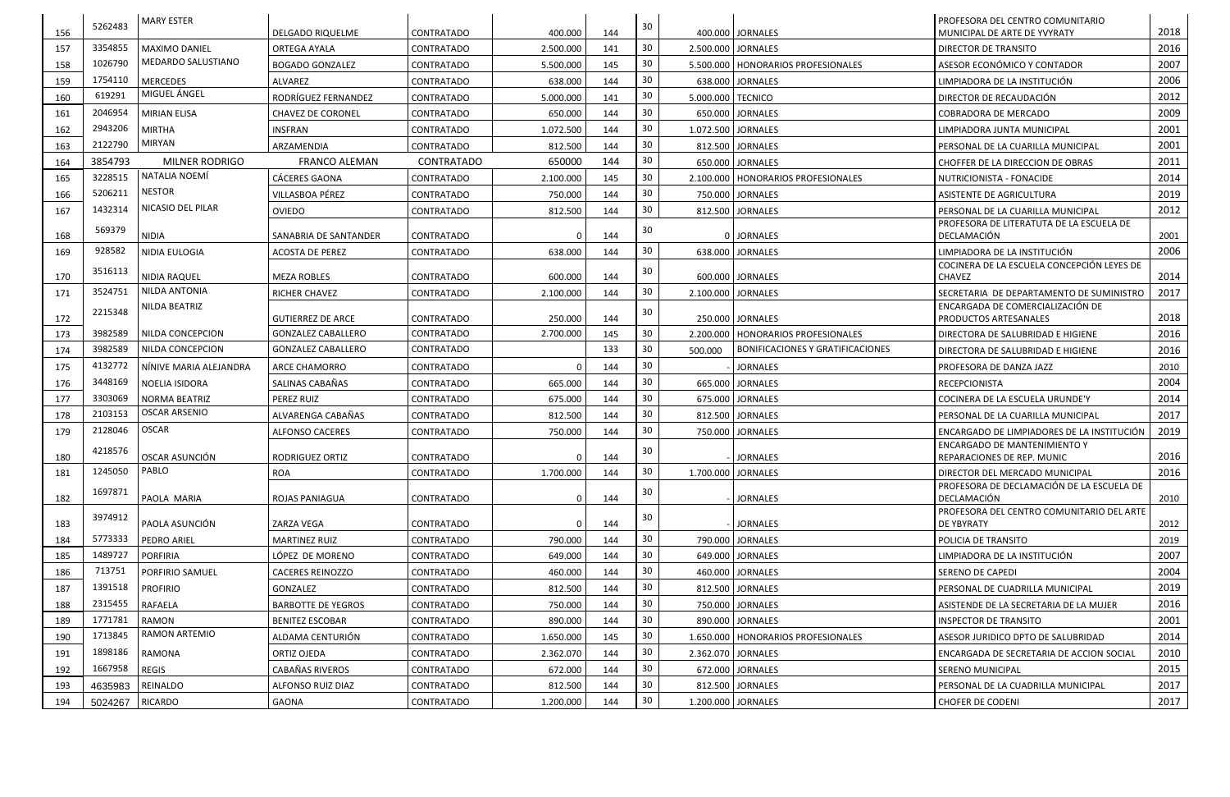|     | 5262483 | <b>MARY ESTER</b>       |                           |                   |              |     |    |                     |                                         | <b>PROFESORA DEL CENTRO COMUNITARIO</b>                                     |      |
|-----|---------|-------------------------|---------------------------|-------------------|--------------|-----|----|---------------------|-----------------------------------------|-----------------------------------------------------------------------------|------|
| 156 |         |                         | DELGADO RIQUELME          | CONTRATADO        | 400.000      | 144 | 30 |                     | 400.000 JORNALES                        | MUNICIPAL DE ARTE DE YVYRATY                                                | 2018 |
| 157 | 3354855 | <b>MAXIMO DANIEL</b>    | <b>ORTEGA AYALA</b>       | <b>CONTRATADO</b> | 2.500.000    | 141 | 30 |                     | 2.500.000 JORNALES                      | <b>DIRECTOR DE TRANSITO</b>                                                 | 2016 |
| 158 | 1026790 | MEDARDO SALUSTIANO      | <b>BOGADO GONZALEZ</b>    | <b>CONTRATADO</b> | 5.500.000    | 145 | 30 |                     | 5.500.000   HONORARIOS PROFESIONALES    | ASESOR ECONÓMICO Y CONTADOR                                                 | 2007 |
| 159 | 1754110 | <b>MERCEDES</b>         | ALVAREZ                   | CONTRATADO        | 638.000      | 144 | 30 |                     | 638.000 JORNALES                        | LIMPIADORA DE LA INSTITUCIÓN                                                | 2006 |
| 160 | 619291  | MIGUEL ÁNGEL            | RODRÍGUEZ FERNANDEZ       | <b>CONTRATADO</b> | 5.000.000    | 141 | 30 | 5.000.000   TECNICO |                                         | DIRECTOR DE RECAUDACIÓN                                                     | 2012 |
| 161 | 2046954 | <b>MIRIAN ELISA</b>     | <b>CHAVEZ DE CORONEL</b>  | <b>CONTRATADO</b> | 650.000      | 144 | 30 |                     | 650.000 JORNALES                        | <b>COBRADORA DE MERCADO</b>                                                 | 2009 |
| 162 | 2943206 | <b>MIRTHA</b>           | <b>INSFRAN</b>            | <b>CONTRATADO</b> | 1.072.500    | 144 | 30 |                     | 1.072.500 JORNALES                      | LIMPIADORA JUNTA MUNICIPAL                                                  | 2001 |
| 163 | 2122790 | MIRYAN                  | ARZAMENDIA                | <b>CONTRATADO</b> | 812.500      | 144 | 30 |                     | 812.500 JORNALES                        | PERSONAL DE LA CUARILLA MUNICIPAL                                           | 2001 |
| 164 | 3854793 | MILNER RODRIGO          | <b>FRANCO ALEMAN</b>      | <b>CONTRATADO</b> | 650000       | 144 | 30 |                     | 650.000 JORNALES                        | CHOFFER DE LA DIRECCION DE OBRAS                                            | 2011 |
| 165 | 3228515 | NATALIA NOEMÍ           | <b>CÁCERES GAONA</b>      | <b>CONTRATADO</b> | 2.100.000    | 145 | 30 |                     | 2.100.000   HONORARIOS PROFESIONALES    | NUTRICIONISTA - FONACIDE                                                    | 2014 |
| 166 | 5206211 | <b>NESTOR</b>           | VILLASBOA PÉREZ           | <b>CONTRATADO</b> | 750.000      | 144 | 30 |                     | 750.000 JORNALES                        | ASISTENTE DE AGRICULTURA                                                    | 2019 |
| 167 | 1432314 | NICASIO DEL PILAR       | <b>OVIEDO</b>             | <b>CONTRATADO</b> | 812.500      | 144 | 30 |                     | 812.500 JORNALES                        | PERSONAL DE LA CUARILLA MUNICIPAL                                           | 2012 |
|     | 569379  |                         |                           |                   |              |     | 30 |                     |                                         | PROFESORA DE LITERATUTA DE LA ESCUELA DE                                    |      |
| 168 |         | <b>NIDIA</b>            | SANABRIA DE SANTANDER     | CONTRATADO        |              | 144 |    |                     | 0 JORNALES                              | DECLAMACIÓN                                                                 | 2001 |
| 169 | 928582  | NIDIA EULOGIA           | <b>ACOSTA DE PEREZ</b>    | <b>CONTRATADO</b> | 638.000      | 144 | 30 |                     | 638.000 JORNALES                        | LIMPIADORA DE LA INSTITUCIÓN                                                | 2006 |
| 170 | 3516113 | <b>NIDIA RAQUEL</b>     | <b>MEZA ROBLES</b>        | CONTRATADO        | 600.000      | 144 | 30 |                     | 600.000 JORNALES                        | COCINERA DE LA ESCUELA CONCEPCIÓN LEYES DE<br><b>CHAVEZ</b>                 | 2014 |
| 171 | 3524751 | NILDA ANTONIA           | <b>RICHER CHAVEZ</b>      | <b>CONTRATADO</b> | 2.100.000    | 144 | 30 | 2.100.000           | <b>JORNALES</b>                         | SECRETARIA DE DEPARTAMENTO DE SUMINISTRO                                    | 2017 |
|     |         | NILDA BEATRIZ           |                           |                   |              |     |    |                     |                                         | <b>ENCARGADA DE COMERCIALIZACIÓN DE</b>                                     |      |
| 172 | 2215348 |                         | <b>GUTIERREZ DE ARCE</b>  | <b>CONTRATADO</b> | 250.000      | 144 | 30 |                     | 250.000 JORNALES                        | <b>PRODUCTOS ARTESANALES</b>                                                | 2018 |
| 173 | 3982589 | NILDA CONCEPCION        | <b>GONZALEZ CABALLERO</b> | <b>CONTRATADO</b> | 2.700.000    | 145 | 30 |                     | 2.200.000   HONORARIOS PROFESIONALES    | DIRECTORA DE SALUBRIDAD E HIGIENE                                           | 2016 |
| 174 | 3982589 | NILDA CONCEPCION        | <b>GONZALEZ CABALLERO</b> | CONTRATADO        |              | 133 | 30 | 500.000             | <b>BONIFICACIONES Y GRATIFICACIONES</b> | DIRECTORA DE SALUBRIDAD E HIGIENE                                           | 2016 |
| 175 | 4132772 | NINIVE MARIA ALEJANDRA  | <b>ARCE CHAMORRO</b>      | <b>CONTRATADO</b> |              | 144 | 30 |                     | <b>JORNALES</b>                         | <b>PROFESORA DE DANZA JAZZ</b>                                              | 2010 |
| 176 | 3448169 | NOELIA ISIDORA          | SALINAS CABAÑAS           | <b>CONTRATADO</b> | 665.000      | 144 | 30 |                     | 665.000 JORNALES                        | <b>RECEPCIONISTA</b>                                                        | 2004 |
| 177 | 3303069 | <b>NORMA BEATRIZ</b>    | <b>PEREZ RUIZ</b>         | <b>CONTRATADO</b> | 675.000      | 144 | 30 |                     | 675.000 JORNALES                        | COCINERA DE LA ESCUELA URUNDE'Y                                             | 2014 |
| 178 | 2103153 | <b>OSCAR ARSENIO</b>    | ALVARENGA CABAÑAS         | CONTRATADO        | 812.500      | 144 | 30 |                     | 812.500 JORNALES                        | PERSONAL DE LA CUARILLA MUNICIPAL                                           | 2017 |
| 179 | 2128046 | <b>OSCAR</b>            | <b>ALFONSO CACERES</b>    | <b>CONTRATADO</b> | 750.000      | 144 | 30 |                     | 750.000 JORNALES                        | <b>ENCARGADO DE LIMPIADORES DE LA INSTITUCIÓN</b>                           | 2019 |
|     | 4218576 |                         |                           |                   |              |     | 30 |                     |                                         | <b>ENCARGADO DE MANTENIMIENTO Y</b>                                         |      |
| 180 |         | OSCAR ASUNCIÓN<br>PABLO | RODRIGUEZ ORTIZ           | CONTRATADO        | $\mathbf{0}$ | 144 |    |                     | <b>JORNALES</b>                         | <b>REPARACIONES DE REP. MUNIC</b>                                           | 2016 |
| 181 | 1245050 |                         | <b>ROA</b>                | CONTRATADO        | 1.700.000    | 144 | 30 |                     | 1.700.000 JORNALES                      | DIRECTOR DEL MERCADO MUNICIPAL<br>PROFESORA DE DECLAMACIÓN DE LA ESCUELA DE | 2016 |
| 182 | 1697871 | PAOLA MARIA             | ROJAS PANIAGUA            | CONTRATADO        | $\mathbf{0}$ | 144 | 30 |                     | <b>JORNALES</b>                         | DECLAMACIÓN                                                                 | 2010 |
|     | 3974912 |                         |                           |                   |              |     | 30 |                     |                                         | PROFESORA DEL CENTRO COMUNITARIO DEL ARTE                                   |      |
| 183 |         | PAOLA ASUNCIÓN          | <b>ZARZA VEGA</b>         | CONTRATADO        | $\Omega$     | 144 |    |                     | <b>JORNALES</b>                         | DE YBYRATY                                                                  | 2012 |
| 184 | 5773333 | <b>PEDRO ARIEL</b>      | <b>MARTINEZ RUIZ</b>      | CONTRATADO        | 790.000      | 144 | 30 |                     | 790.000 JORNALES                        | POLICIA DE TRANSITO                                                         | 2019 |
| 185 | 1489727 | <b>PORFIRIA</b>         | LÓPEZ DE MORENO           | CONTRATADO        | 649.000      | 144 | 30 |                     | 649.000 JORNALES                        | LIMPIADORA DE LA INSTITUCIÓN                                                | 2007 |
| 186 | 713751  | PORFIRIO SAMUEL         | <b>CACERES REINOZZO</b>   | CONTRATADO        | 460.000      | 144 | 30 |                     | 460.000 JORNALES                        | SERENO DE CAPEDI                                                            | 2004 |
| 187 | 1391518 | <b>PROFIRIO</b>         | GONZALEZ                  | CONTRATADO        | 812.500      | 144 | 30 |                     | 812.500 JORNALES                        | PERSONAL DE CUADRILLA MUNICIPAL                                             | 2019 |
| 188 | 2315455 | <b>RAFAELA</b>          | <b>BARBOTTE DE YEGROS</b> | CONTRATADO        | 750.000      | 144 | 30 |                     | 750.000 JORNALES                        | ASISTENDE DE LA SECRETARIA DE LA MUJER                                      | 2016 |
| 189 | 1771781 | <b>RAMON</b>            | <b>BENITEZ ESCOBAR</b>    | CONTRATADO        | 890.000      | 144 | 30 |                     | 890.000 JORNALES                        | <b>INSPECTOR DE TRANSITO</b>                                                | 2001 |
| 190 | 1713845 | RAMON ARTEMIO           | ALDAMA CENTURIÓN          | CONTRATADO        | 1.650.000    | 145 | 30 |                     | 1.650.000   HONORARIOS PROFESIONALES    | ASESOR JURIDICO DPTO DE SALUBRIDAD                                          | 2014 |
| 191 | 1898186 | RAMONA                  | ORTIZ OJEDA               | CONTRATADO        | 2.362.070    | 144 | 30 |                     | 2.362.070 JORNALES                      | <b>ENCARGADA DE SECRETARIA DE ACCION SOCIAL</b>                             | 2010 |
| 192 | 1667958 | <b>REGIS</b>            | CABAÑAS RIVEROS           | CONTRATADO        | 672.000      | 144 | 30 |                     | 672.000 JORNALES                        | <b>SERENO MUNICIPAL</b>                                                     | 2015 |
| 193 | 4635983 | REINALDO                | <b>ALFONSO RUIZ DIAZ</b>  | CONTRATADO        | 812.500      | 144 | 30 |                     | 812.500 JORNALES                        | PERSONAL DE LA CUADRILLA MUNICIPAL                                          | 2017 |
| 194 | 5024267 | <b>RICARDO</b>          | <b>GAONA</b>              | CONTRATADO        | 1.200.000    | 144 | 30 |                     | 1.200.000 JORNALES                      | <b>CHOFER DE CODENI</b>                                                     | 2017 |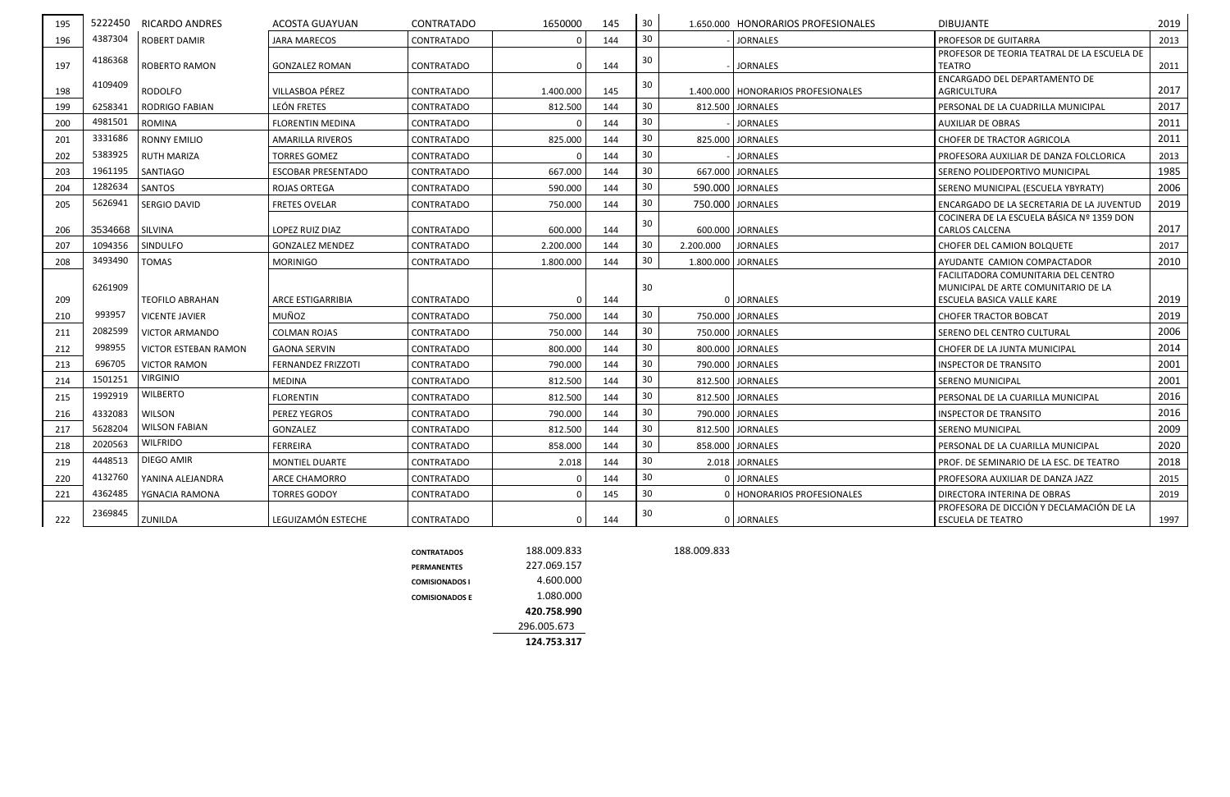| 195 |         | 5222450 RICARDO ANDRES | ACOSTA GUAYUAN            | <b>CONTRATADO</b> | 1650000     | 145 | 30 |           | 1.650.000 HONORARIOS PROFESIONALES   | <b>DIBUJANTE</b>                                                                                        | 2019 |
|-----|---------|------------------------|---------------------------|-------------------|-------------|-----|----|-----------|--------------------------------------|---------------------------------------------------------------------------------------------------------|------|
| 196 | 4387304 | <b>ROBERT DAMIR</b>    | JARA MARECOS              | CONTRATADO        | $\Omega$    | 144 | 30 |           | <b>JORNALES</b>                      | PROFESOR DE GUITARRA                                                                                    | 2013 |
| 197 | 4186368 | <b>ROBERTO RAMON</b>   | <b>GONZALEZ ROMAN</b>     | <b>CONTRATADO</b> | $\Omega$    | 144 | 30 |           | <b>JORNALES</b>                      | PROFESOR DE TEORIA TEATRAL DE LA ESCUELA DE<br>TEATRO                                                   | 2011 |
| 198 | 4109409 | RODOLFO                | VILLASBOA PÉREZ           | <b>CONTRATADO</b> | 1.400.000   | 145 | 30 |           | 1.400.000   HONORARIOS PROFESIONALES | ENCARGADO DEL DEPARTAMENTO DE<br><b>AGRICULTURA</b>                                                     | 2017 |
| 199 | 6258341 | <b>RODRIGO FABIAN</b>  | LEÓN FRETES               | <b>CONTRATADO</b> | 812.500     | 144 | 30 |           | 812.500 JORNALES                     | PERSONAL DE LA CUADRILLA MUNICIPAL                                                                      | 2017 |
| 200 | 4981501 | ROMINA                 | <b>FLORENTIN MEDINA</b>   | CONTRATADO        | $\Omega$    | 144 | 30 |           | <b>JORNALES</b>                      | AUXILIAR DE OBRAS                                                                                       | 2011 |
| 201 | 3331686 | <b>RONNY EMILIO</b>    | AMARILLA RIVEROS          | CONTRATADO        | 825.000     | 144 | 30 |           | 825.000 JORNALES                     | <b>CHOFER DE TRACTOR AGRICOLA</b>                                                                       | 2011 |
| 202 | 5383925 | <b>RUTH MARIZA</b>     | <b>TORRES GOMEZ</b>       | <b>CONTRATADO</b> |             | 144 | 30 |           | <b>JORNALES</b>                      | PROFESORA AUXILIAR DE DANZA FOLCLORICA                                                                  | 2013 |
| 203 | 1961195 | <b>SANTIAGO</b>        | <b>ESCOBAR PRESENTADO</b> | <b>CONTRATADO</b> | 667.000     | 144 | 30 |           | 667.000 JORNALES                     | SERENO POLIDEPORTIVO MUNICIPAL                                                                          | 1985 |
| 204 | 1282634 | SANTOS                 | ROJAS ORTEGA              | CONTRATADO        | 590.000     | 144 | 30 |           | 590.000 JORNALES                     | SERENO MUNICIPAL (ESCUELA YBYRATY)                                                                      | 2006 |
| 205 | 5626941 | SERGIO DAVID           | <b>FRETES OVELAR</b>      | CONTRATADO        | 750.000     | 144 | 30 |           | 750.000 JORNALES                     | ENCARGADO DE LA SECRETARIA DE LA JUVENTUD                                                               | 2019 |
| 206 | 3534668 | <b>SILVINA</b>         | LOPEZ RUIZ DIAZ           | <b>CONTRATADO</b> | 600.000     | 144 | 30 |           | 600.000   JORNALES                   | COCINERA DE LA ESCUELA BÁSICA Nº 1359 DON<br>CARLOS CALCENA                                             | 2017 |
| 207 | 1094356 | SINDULFO               | <b>GONZALEZ MENDEZ</b>    | CONTRATADO        | 2.200.000   | 144 | 30 | 2.200.000 | <b>JORNALES</b>                      | <b>CHOFER DEL CAMION BOLQUETE</b>                                                                       | 2017 |
| 208 | 3493490 | <b>TOMAS</b>           | <b>MORINIGO</b>           | CONTRATADO        | 1.800.000   | 144 | 30 |           | 1.800.000 JORNALES                   | AYUDANTE CAMION COMPACTADOR                                                                             | 2010 |
| 209 | 6261909 | <b>TEOFILO ABRAHAN</b> | <b>ARCE ESTIGARRIBIA</b>  | CONTRATADO        | $\Omega$    | 144 | 30 |           | 0 JORNALES                           | FACILITADORA COMUNITARIA DEL CENTRO<br>MUNICIPAL DE ARTE COMUNITARIO DE LA<br>ESCUELA BASICA VALLE KARE | 2019 |
| 210 | 993957  | <b>VICENTE JAVIER</b>  | MUÑOZ                     | CONTRATADO        | 750.000     | 144 | 30 |           | 750.000 JORNALES                     | <b>CHOFER TRACTOR BOBCAT</b>                                                                            | 2019 |
| 211 | 2082599 | <b>VICTOR ARMANDO</b>  | <b>COLMAN ROJAS</b>       | CONTRATADO        | 750.000     | 144 | 30 |           | 750.000 JORNALES                     | SERENO DEL CENTRO CULTURAL                                                                              | 2006 |
| 212 | 998955  | VICTOR ESTEBAN RAMON   | <b>GAONA SERVIN</b>       | <b>CONTRATADO</b> | 800.000     | 144 | 30 |           | 800.000 JORNALES                     | CHOFER DE LA JUNTA MUNICIPAL                                                                            | 2014 |
| 213 | 696705  | <b>VICTOR RAMON</b>    | <b>FERNANDEZ FRIZZOTI</b> | CONTRATADO        | 790.000     | 144 | 30 |           | 790.000 JORNALES                     | <b>INSPECTOR DE TRANSITO</b>                                                                            | 2001 |
| 214 | 1501251 | VIRGINIO               | MEDINA                    | <b>CONTRATADO</b> | 812.500     | 144 | 30 |           | 812.500 JORNALES                     | SERENO MUNICIPAL                                                                                        | 2001 |
| 215 | 1992919 | <b>WILBERTO</b>        | <b>FLORENTIN</b>          | <b>CONTRATADO</b> | 812.500     | 144 | 30 |           | 812.500 JORNALES                     | PERSONAL DE LA CUARILLA MUNICIPAL                                                                       | 2016 |
| 216 | 4332083 | WILSON                 | PEREZ YEGROS              | CONTRATADO        | 790.000     | 144 | 30 |           | 790.000 JORNALES                     | <b>INSPECTOR DE TRANSITO</b>                                                                            | 2016 |
| 217 | 5628204 | <b>WILSON FABIAN</b>   | <b>GONZALEZ</b>           | <b>CONTRATADO</b> | 812.500     | 144 | 30 |           | 812.500 JORNALES                     | <b>SERENO MUNICIPAL</b>                                                                                 | 2009 |
| 218 | 2020563 | <b>WILFRIDO</b>        | <b>FERREIRA</b>           | <b>CONTRATADO</b> | 858.000     | 144 | 30 |           | 858.000 JORNALES                     | PERSONAL DE LA CUARILLA MUNICIPAL                                                                       | 2020 |
| 219 | 4448513 | DIEGO AMIR             | <b>MONTIEL DUARTE</b>     | CONTRATADO        | 2.018       | 144 | 30 |           | 2.018 JORNALES                       | PROF. DE SEMINARIO DE LA ESC. DE TEATRO                                                                 | 2018 |
| 220 | 4132760 | YANINA ALEJANDRA       | <b>ARCE CHAMORRO</b>      | CONTRATADO        |             | 144 | 30 |           | <b>JORNALES</b>                      | PROFESORA AUXILIAR DE DANZA JAZZ                                                                        | 2015 |
| 221 | 4362485 | YGNACIA RAMONA         | <b>TORRES GODOY</b>       | CONTRATADO        | $\Omega$    | 145 | 30 |           | 0   HONORARIOS PROFESIONALES         | DIRECTORA INTERINA DE OBRAS                                                                             | 2019 |
| 222 | 2369845 | ZUNILDA                | LEGUIZAMÓN ESTECHE        | CONTRATADO        | $\mathbf 0$ | 144 | 30 |           | 0 JORNALES                           | PROFESORA DE DICCIÓN Y DECLAMACIÓN DE LA<br><b>ESCUELA DE TEATRO</b>                                    | 1997 |

**CONTRATADOS** 188.009.833 188.009.833

|                       | 124.753.317 |
|-----------------------|-------------|
|                       | 296.005.673 |
|                       | 420.758.990 |
| <b>COMISIONADOS F</b> | 1.080.000   |
| <b>COMISIONADOS I</b> | 4.600.000   |
| <b>PFRMANFNTFS</b>    | 227.069.157 |
| <b>CONTRATADOS</b>    | 188.009.833 |
|                       |             |